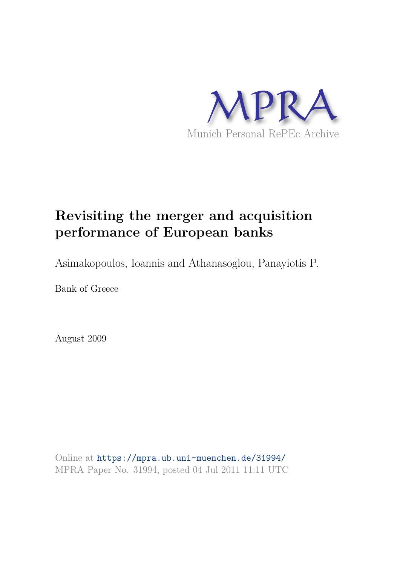

# **Revisiting the merger and acquisition performance of European banks**

Asimakopoulos, Ioannis and Athanasoglou, Panayiotis P.

Bank of Greece

August 2009

Online at https://mpra.ub.uni-muenchen.de/31994/ MPRA Paper No. 31994, posted 04 Jul 2011 11:11 UTC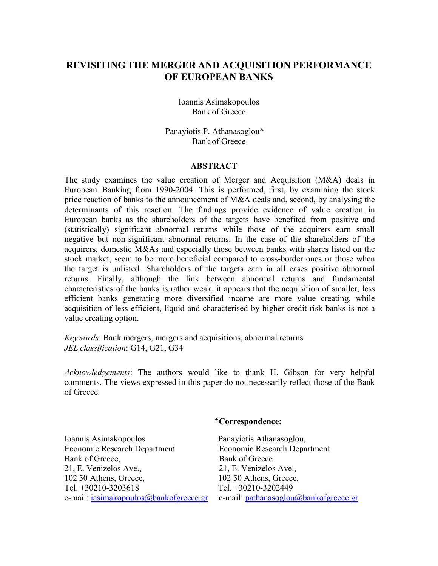# REVISITING THE MERGER AND ACQUISITION PERFORMANCE **OF EUROPEAN BANKS**

Ioannis Asimakopoulos Bank of Greece

 Panayiotis P. Athanasoglou\* Bank of Greece

#### **ABSTRACT**

The study examines the value creation of Merger and Acquisition (M&A) deals in European Banking from 1990-2004. This is performed, first, by examining the stock price reaction of banks to the announcement of M&A deals and, second, by analysing the determinants of this reaction. The findings provide evidence of value creation in European banks as the shareholders of the targets have benefited from positive and (statistically) significant abnormal returns while those of the acquirers earn small negative but non-significant abnormal returns. In the case of the shareholders of the acquirers, domestic M&As and especially those between banks with shares listed on the stock market, seem to be more beneficial compared to cross-border ones or those when the target is unlisted. Shareholders of the targets earn in all cases positive abnormal returns. Finally, although the link between abnormal returns and fundamental characteristics of the banks is rather weak, it appears that the acquisition of smaller, less efficient banks generating more diversified income are more value creating, while acquisition of less efficient, liquid and characterised by higher credit risk banks is not a value creating option.

Keywords: Bank mergers, mergers and acquisitions, abnormal returns *JEL classification*: G14, G21, G34

Acknowledgements: The authors would like to thank H. Gibson for very helpful comments. The views expressed in this paper do not necessarily reflect those of the Bank of Greece.

#### \*Correspondence:

Ioannis Asimakopoulos Panayiotis Athanasoglou, Economic Research Department Economic Research Department Bank of Greece, Bank of Greece 21, E. Venizelos Ave., 21, E. Venizelos Ave., 102 50 Athens, Greece, 102 50 Athens, Greece, Tel. +30210-3203618 Tel. +30210-3202449 e-mail: [iasimakopoulos@bankofgreece.gr](mailto:iasimakopoulos@bankofgreece.gr) e-mail: [pathanasoglou@bankofgreece.gr](mailto:pathanasoglou@bankofgreece.gr)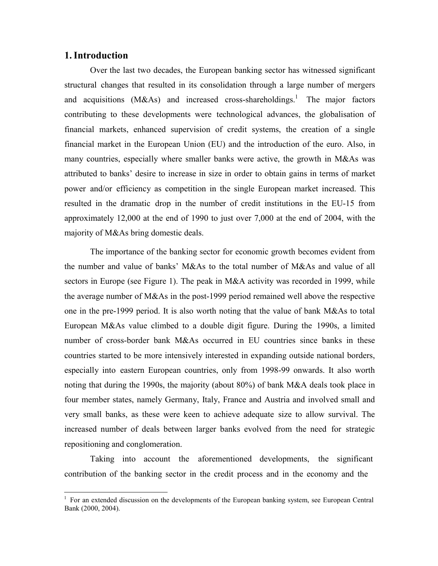## **1.** Introduction

Over the last two decades, the European banking sector has witnessed significant structural changes that resulted in its consolidation through a large number of mergers and acquisitions (M&As) and increased cross-shareholdings.<sup>1</sup> The major factors contributing to these developments were technological advances, the globalisation of financial markets, enhanced supervision of credit systems, the creation of a single financial market in the European Union (EU) and the introduction of the euro. Also, in many countries, especially where smaller banks were active, the growth in M&As was attributed to banks' desire to increase in size in order to obtain gains in terms of market power and/or efficiency as competition in the single European market increased. This resulted in the dramatic drop in the number of credit institutions in the EU-15 from approximately 12,000 at the end of 1990 to just over 7,000 at the end of 2004, with the majority of M&As bring domestic deals.

The importance of the banking sector for economic growth becomes evident from the number and value of banks' M&As to the total number of M&As and value of all sectors in Europe (see Figure 1). The peak in M&A activity was recorded in 1999, while the average number of M&As in the post-1999 period remained well above the respective one in the pre-1999 period. It is also worth noting that the value of bank M&As to total European M&As value climbed to a double digit figure. During the 1990s, a limited number of cross-border bank M&As occurred in EU countries since banks in these countries started to be more intensively interested in expanding outside national borders, especially into eastern European countries, only from 1998-99 onwards. It also worth noting that during the 1990s, the majority (about 80%) of bank M&A deals took place in four member states, namely Germany, Italy, France and Austria and involved small and very small banks, as these were keen to achieve adequate size to allow survival. The increased number of deals between larger banks evolved from the need for strategic repositioning and conglomeration.

Taking into account the aforementioned developments, the significant contribution of the banking sector in the credit process and in the economy and the

<sup>&</sup>lt;sup>1</sup> For an extended discussion on the developments of the European banking system, see European Central Bank (2000, 2004).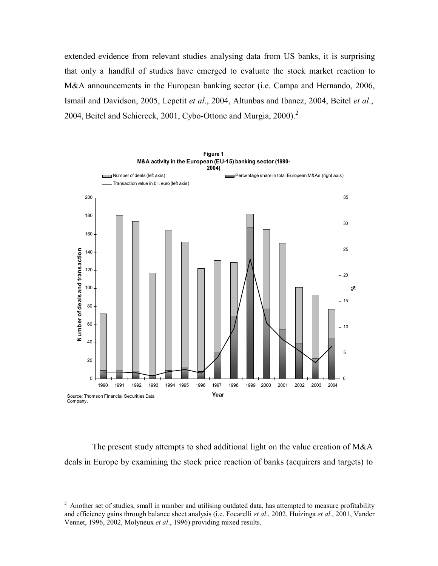extended evidence from relevant studies analysing data from US banks, it is surprising that only a handful of studies have emerged to evaluate the stock market reaction to M&A announcements in the European banking sector (i.e. Campa and Hernando, 2006, Ismail and Davidson, 2005, Lepetit *et al.*, 2004, Altunbas and Ibanez, 2004, Beitel *et al.*, 2004, Beitel and Schiereck, 2001, Cybo-Ottone and Murgia, 2000).<sup>2</sup>



The present study attempts to shed additional light on the value creation of M&A deals in Europe by examining the stock price reaction of banks (acquirers and targets) to

<sup>&</sup>lt;sup>2</sup> Another set of studies, small in number and utilising outdated data, has attempted to measure profitability and efficiency gains through balance sheet analysis (i.e. Focarelli *et al.*, 2002, Huizinga *et al.*, 2001, Vander Vennet, 1996, 2002, Molyneux *et al.*, 1996) providing mixed results.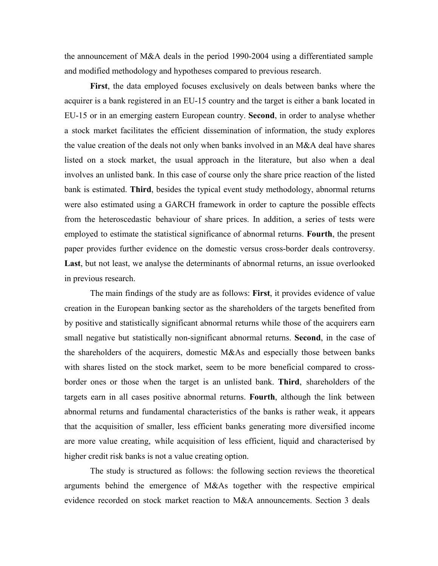the announcement of M&A deals in the period 1990-2004 using a differentiated sample and modified methodology and hypotheses compared to previous research.

**First**, the data employed focuses exclusively on deals between banks where the acquirer is a bank registered in an EU-15 country and the target is either a bank located in EU-15 or in an emerging eastern European country. Second, in order to analyse whether a stock market facilitates the efficient dissemination of information, the study explores the value creation of the deals not only when banks involved in an M&A deal have shares listed on a stock market, the usual approach in the literature, but also when a deal involves an unlisted bank. In this case of course only the share price reaction of the listed bank is estimated. **Third**, besides the typical event study methodology, abnormal returns were also estimated using a GARCH framework in order to capture the possible effects from the heteroscedastic behaviour of share prices. In addition, a series of tests were employed to estimate the statistical significance of abnormal returns. **Fourth**, the present paper provides further evidence on the domestic versus cross-border deals controversy. **Last**, but not least, we analyse the determinants of abnormal returns, an issue overlooked in previous research.

The main findings of the study are as follows: **First**, it provides evidence of value creation in the European banking sector as the shareholders of the targets benefited from by positive and statistically significant abnormal returns while those of the acquirers earn small negative but statistically non-significant abnormal returns. Second, in the case of the shareholders of the acquirers, domestic M&As and especially those between banks with shares listed on the stock market, seem to be more beneficial compared to crossborder ones or those when the target is an unlisted bank. **Third**, shareholders of the targets earn in all cases positive abnormal returns. Fourth, although the link between abnormal returns and fundamental characteristics of the banks is rather weak, it appears that the acquisition of smaller, less efficient banks generating more diversified income are more value creating, while acquisition of less efficient, liquid and characterised by higher credit risk banks is not a value creating option.

The study is structured as follows: the following section reviews the theoretical arguments behind the emergence of M&As together with the respective empirical evidence recorded on stock market reaction to M&A announcements. Section 3 deals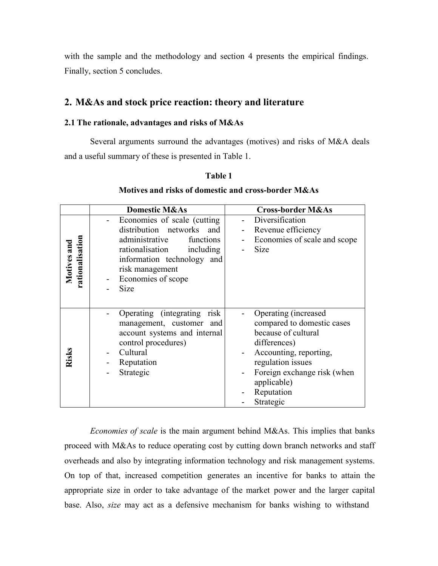with the sample and the methodology and section 4 presents the empirical findings. Finally, section 5 concludes.

# **2. M&As and stock price reaction: theory and literature**

## 2.1 The rationale, advantages and risks of M&As

Several arguments surround the advantages (motives) and risks of M&A deals and a useful summary of these is presented in Table 1.

|                                | Domestic M&As                                                                                                                                                                                                  | <b>Cross-border M&amp;As</b>                                                                                                                                                                                       |
|--------------------------------|----------------------------------------------------------------------------------------------------------------------------------------------------------------------------------------------------------------|--------------------------------------------------------------------------------------------------------------------------------------------------------------------------------------------------------------------|
| rationalisation<br>Motives and | Economies of scale (cutting)<br>distribution networks and<br>administrative<br>functions<br>rationalisation<br>including<br>information technology and<br>risk management<br>Economies of scope<br><b>Size</b> | Diversification<br>Revenue efficiency<br>Economies of scale and scope<br>Size                                                                                                                                      |
| Risks                          | Operating (integrating)<br>risk<br>management, customer and<br>account systems and internal<br>control procedures)<br>Cultural<br>Reputation<br>Strategic                                                      | Operating (increased)<br>compared to domestic cases<br>because of cultural<br>differences)<br>Accounting, reporting,<br>regulation issues<br>Foreign exchange risk (when<br>applicable)<br>Reputation<br>Strategic |

#### **Table 1**

#### Motives and risks of domestic and cross-border M&As

*Economies of scale* is the main argument behind M&As. This implies that banks proceed with M&As to reduce operating cost by cutting down branch networks and staff overheads and also by integrating information technology and risk management systems. On top of that, increased competition generates an incentive for banks to attain the appropriate size in order to take advantage of the market power and the larger capital base. Also, *size* may act as a defensive mechanism for banks wishing to withstand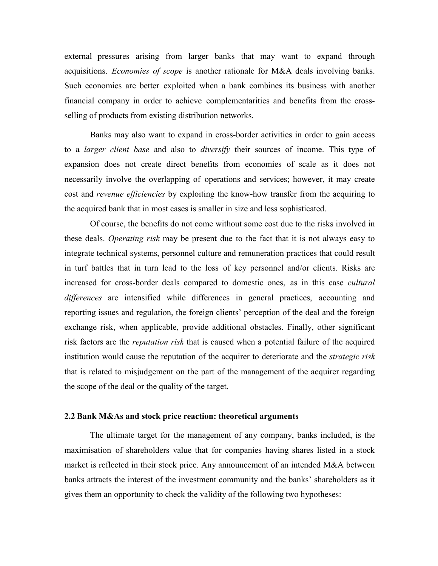external pressures arising from larger banks that may want to expand through acquisitions. *Economies of scope* is another rationale for M&A deals involving banks. Such economies are better exploited when a bank combines its business with another financial company in order to achieve complementarities and benefits from the crossselling of products from existing distribution networks.

Banks may also want to expand in cross-border activities in order to gain access to a *larger client base* and also to *diversify* their sources of income. This type of expansion does not create direct benefits from economies of scale as it does not necessarily involve the overlapping of operations and services; however, it may create cost and *revenue efficiencies* by exploiting the know-how transfer from the acquiring to the acquired bank that in most cases is smaller in size and less sophisticated.

Of course, the benefits do not come without some cost due to the risks involved in these deals. *Operating risk* may be present due to the fact that it is not always easy to integrate technical systems, personnel culture and remuneration practices that could result in turf battles that in turn lead to the loss of key personnel and/or clients. Risks are increased for cross-border deals compared to domestic ones, as in this case  differences are intensified while differences in general practices, accounting and reporting issues and regulation, the foreign clients' perception of the deal and the foreign exchange risk, when applicable, provide additional obstacles. Finally, other significant risk factors are the *reputation risk* that is caused when a potential failure of the acquired institution would cause the reputation of the acquirer to deteriorate and the *strategic risk* that is related to misjudgement on the part of the management of the acquirer regarding the scope of the deal or the quality of the target.

#### **2.2 Bank M&As and stock price reaction: theoretical arguments**

The ultimate target for the management of any company, banks included, is the maximisation of shareholders value that for companies having shares listed in a stock market is reflected in their stock price. Any announcement of an intended M&A between banks attracts the interest of the investment community and the banks' shareholders as it gives them an opportunity to check the validity of the following two hypotheses: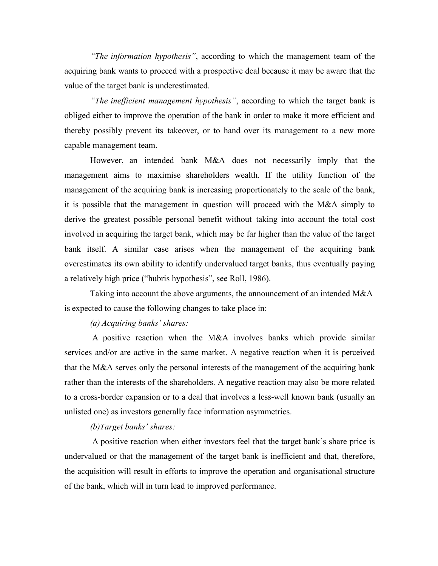"The information hypothesis", according to which the management team of the acquiring bank wants to proceed with a prospective deal because it may be aware that the value of the target bank is underestimated.

"The inefficient management hypothesis", according to which the target bank is obliged either to improve the operation of the bank in order to make it more efficient and thereby possibly prevent its takeover, or to hand over its management to a new more capable management team.

However, an intended bank M&A does not necessarily imply that the management aims to maximise shareholders wealth. If the utility function of the management of the acquiring bank is increasing proportionately to the scale of the bank, it is possible that the management in question will proceed with the M&A simply to derive the greatest possible personal benefit without taking into account the total cost involved in acquiring the target bank, which may be far higher than the value of the target bank itself. A similar case arises when the management of the acquiring bank overestimates its own ability to identify undervalued target banks, thus eventually paying a relatively high price ("hubris hypothesis", see Roll, 1986).

Taking into account the above arguments, the announcement of an intended M&A is expected to cause the following changes to take place in:

(a) Acquiring banks' shares:

A positive reaction when the M&A involves banks which provide similar services and/or are active in the same market. A negative reaction when it is perceived that the M&A serves only the personal interests of the management of the acquiring bank rather than the interests of the shareholders. A negative reaction may also be more related to a cross-border expansion or to a deal that involves a less-well known bank (usually an unlisted one) as investors generally face information asymmetries.

(b)Target banks' shares:

A positive reaction when either investors feel that the target bank's share price is undervalued or that the management of the target bank is inefficient and that, therefore, the acquisition will result in efforts to improve the operation and organisational structure of the bank, which will in turn lead to improved performance.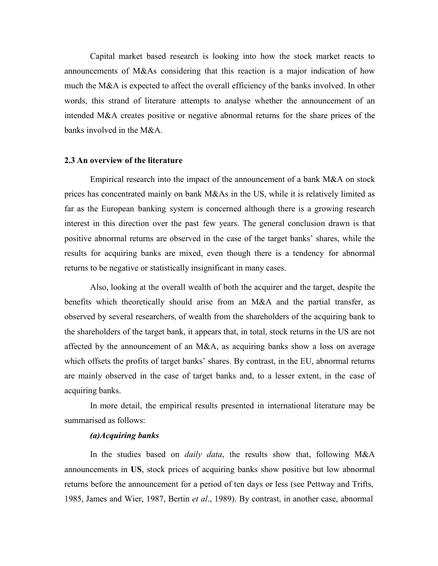Capital market based research is looking into how the stock market reacts to announcements of M&As considering that this reaction is a major indication of how much the M&A is expected to affect the overall efficiency of the banks involved. In other words, this strand of literature attempts to analyse whether the announcement of an intended M&A creates positive or negative abnormal returns for the share prices of the banks involved in the M&A.

#### **2.3 An overview of the literature**

Empirical research into the impact of the announcement of a bank M&A on stock prices has concentrated mainly on bank M&As in the US, while it is relatively limited as far as the European banking system is concerned although there is a growing research interest in this direction over the past few years. The general conclusion drawn is that positive abnormal returns are observed in the case of the target banks' shares, while the results for acquiring banks are mixed, even though there is a tendency for abnormal returns to be negative or statistically insignificant in many cases.

Also, looking at the overall wealth of both the acquirer and the target, despite the benefits which theoretically should arise from an M&A and the partial transfer, as observed by several researchers, of wealth from the shareholders of the acquiring bank to the shareholders of the target bank, it appears that, in total, stock returns in the US are not affected by the announcement of an M&A, as acquiring banks show a loss on average which offsets the profits of target banks' shares. By contrast, in the EU, abnormal returns are mainly observed in the case of target banks and, to a lesser extent, in the case of acquiring banks.

In more detail, the empirical results presented in international literature may be summarised as follows:

#### (a) Acquiring banks

In the studies based on *daily data*, the results show that, following M&A announcements in US, stock prices of acquiring banks show positive but low abnormal returns before the announcement for a period of ten days or less (see Pettway and Trifts, 1985, James and Wier, 1987, Bertin et al., 1989). By contrast, in another case, abnormal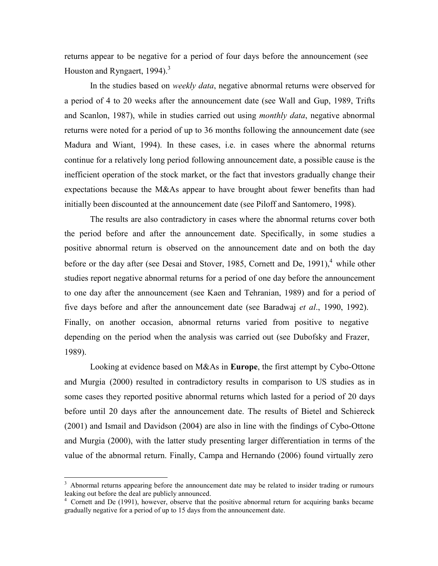returns appear to be negative for a period of four days before the announcement (see Houston and Ryngaert,  $1994$ ).<sup>3</sup>

In the studies based on *weekly data*, negative abnormal returns were observed for a period of 4 to 20 weeks after the announcement date (see Wall and Gup, 1989, Trifts and Scanlon, 1987), while in studies carried out using *monthly data*, negative abnormal returns were noted for a period of up to 36 months following the announcement date (see Madura and Wiant, 1994). In these cases, i.e. in cases where the abnormal returns continue for a relatively long period following announcement date, a possible cause is the inefficient operation of the stock market, or the fact that investors gradually change their expectations because the M&As appear to have brought about fewer benefits than had initially been discounted at the announcement date (see Piloff and Santomero, 1998).

The results are also contradictory in cases where the abnormal returns cover both the period before and after the announcement date. Specifically, in some studies a positive abnormal return is observed on the announcement date and on both the day before or the day after (see Desai and Stover, 1985, Cornett and De,  $1991$ ), while other studies report negative abnormal returns for a period of one day before the announcement to one day after the announcement (see Kaen and Tehranian, 1989) and for a period of five days before and after the announcement date (see Baradwaj *et al.*, 1990, 1992). Finally, on another occasion, abnormal returns varied from positive to negative depending on the period when the analysis was carried out (see Dubofsky and Frazer, 1989).

Looking at evidence based on M&As in Europe, the first attempt by Cybo-Ottone and Murgia (2000) resulted in contradictory results in comparison to US studies as in some cases they reported positive abnormal returns which lasted for a period of 20 days before until 20 days after the announcement date. The results of Bietel and Schiereck (2001) and Ismail and Davidson (2004) are also in line with the findings of Cybo-Ottone and Murgia (2000), with the latter study presenting larger differentiation in terms of the value of the abnormal return. Finally, Campa and Hernando (2006) found virtually zero

<sup>&</sup>lt;sup>3</sup> Abnormal returns appearing before the announcement date may be related to insider trading or rumours leaking out before the deal are publicly announced.

<sup>&</sup>lt;sup>4</sup> Cornett and De (1991), however, observe that the positive abnormal return for acquiring banks became gradually negative for a period of up to 15 days from the announcement date.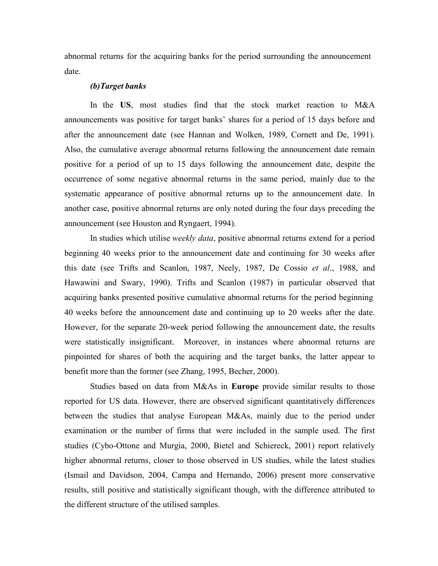abnormal returns for the acquiring banks for the period surrounding the announcement date.

#### *(b)Target banks*

In the US, most studies find that the stock market reaction to M&A announcements was positive for target banks' shares for a period of 15 days before and after the announcement date (see Hannan and Wolken, 1989, Cornett and De, 1991). Also, the cumulative average abnormal returns following the announcement date remain positive for a period of up to 15 days following the announcement date, despite the occurrence of some negative abnormal returns in the same period, mainly due to the systematic appearance of positive abnormal returns up to the announcement date. In another case, positive abnormal returns are only noted during the four days preceding the announcement (see Houston and Ryngaert, 1994).

In studies which utilise *weekly data*, positive abnormal returns extend for a period beginning 40 weeks prior to the announcement date and continuing for 30 weeks after this date (see Trifts and Scanlon, 1987, Neely, 1987, De Cossio *et al.*, 1988, and Hawawini and Swary, 1990). Trifts and Scanlon (1987) in particular observed that acquiring banks presented positive cumulative abnormal returns for the period beginning 40 weeks before the announcement date and continuing up to 20 weeks after the date. However, for the separate 20-week period following the announcement date, the results were statistically insignificant. Moreover, in instances where abnormal returns are pinpointed for shares of both the acquiring and the target banks, the latter appear to benefit more than the former (see Zhang, 1995, Becher, 2000).

Studies based on data from M&As in **Europe** provide similar results to those reported for US data. However, there are observed significant quantitatively differences between the studies that analyse European M&As, mainly due to the period under examination or the number of firms that were included in the sample used. The first studies (Cybo-Ottone and Murgia, 2000, Bietel and Schiereck, 2001) report relatively higher abnormal returns, closer to those observed in US studies, while the latest studies (Ismail and Davidson, 2004, Campa and Hernando, 2006) present more conservative results, still positive and statistically significant though, with the difference attributed to the different structure of the utilised samples.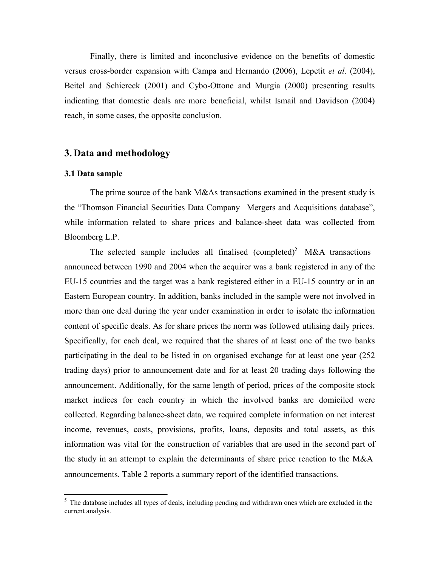Finally, there is limited and inconclusive evidence on the benefits of domestic versus cross-border expansion with Campa and Hernando (2006), Lepetit *et al.* (2004), Beitel and Schiereck (2001) and Cybo-Ottone and Murgia (2000) presenting results indicating that domestic deals are more beneficial, whilst Ismail and Davidson (2004) reach, in some cases, the opposite conclusion.

## **3. Data and methodology**

#### **3.1 Data sample**

The prime source of the bank M&As transactions examined in the present study is the "Thomson Financial Securities Data Company –Mergers and Acquisitions database", while information related to share prices and balance-sheet data was collected from Bloomberg L.P.

The selected sample includes all finalised (completed)<sup>5</sup> M&A transactions announced between 1990 and 2004 when the acquirer was a bank registered in any of the EU-15 countries and the target was a bank registered either in a EU-15 country or in an Eastern European country. In addition, banks included in the sample were not involved in more than one deal during the year under examination in order to isolate the information content of specific deals. As for share prices the norm was followed utilising daily prices. Specifically, for each deal, we required that the shares of at least one of the two banks participating in the deal to be listed in on organised exchange for at least one year (252 trading days) prior to announcement date and for at least 20 trading days following the announcement. Additionally, for the same length of period, prices of the composite stock market indices for each country in which the involved banks are domiciled were collected. Regarding balance-sheet data, we required complete information on net interest income, revenues, costs, provisions, profits, loans, deposits and total assets, as this information was vital for the construction of variables that are used in the second part of the study in an attempt to explain the determinants of share price reaction to the M&A announcements. Table 2 reports a summary report of the identified transactions.

 $<sup>5</sup>$  The database includes all types of deals, including pending and withdrawn ones which are excluded in the</sup> current analysis.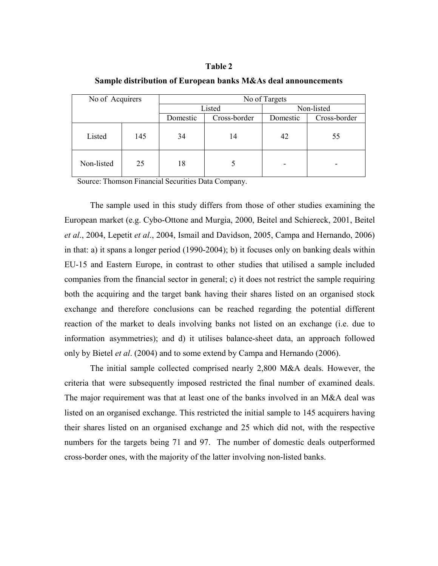#### Table 2

| No of Acquirers |     | No of Targets |              |            |              |  |  |  |  |
|-----------------|-----|---------------|--------------|------------|--------------|--|--|--|--|
|                 |     |               | Listed       | Non-listed |              |  |  |  |  |
|                 |     | Domestic      | Cross-border | Domestic   | Cross-border |  |  |  |  |
| Listed          | 145 | 34            | 14           | 42         | 55           |  |  |  |  |
| Non-listed      | 25  | 18            |              | ۰          | -            |  |  |  |  |

#### **Sample distribution of European banks M&As deal announcements**

Source: Thomson Financial Securities Data Company.

The sample used in this study differs from those of other studies examining the European market (e.g. Cybo-Ottone and Murgia, 2000, Beitel and Schiereck, 2001, Beitel et al., 2004, Lepetit et al., 2004, Ismail and Davidson, 2005, Campa and Hernando, 2006) in that: a) it spans a longer period (1990-2004); b) it focuses only on banking deals within EU-15 and Eastern Europe, in contrast to other studies that utilised a sample included companies from the financial sector in general; c) it does not restrict the sample requiring both the acquiring and the target bank having their shares listed on an organised stock exchange and therefore conclusions can be reached regarding the potential different reaction of the market to deals involving banks not listed on an exchange (i.e. due to information asymmetries); and d) it utilises balance-sheet data, an approach followed only by Bietel *et al.* (2004) and to some extend by Campa and Hernando (2006).

The initial sample collected comprised nearly 2,800 M&A deals. However, the criteria that were subsequently imposed restricted the final number of examined deals. The major requirement was that at least one of the banks involved in an M&A deal was listed on an organised exchange. This restricted the initial sample to 145 acquirers having their shares listed on an organised exchange and 25 which did not, with the respective numbers for the targets being 71 and 97. The number of domestic deals outperformed cross-border ones, with the majority of the latter involving non-listed banks.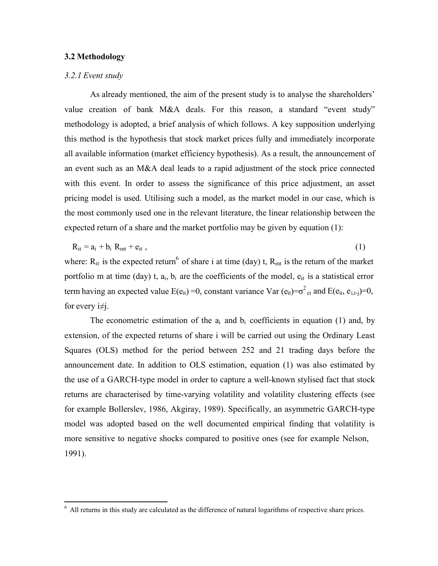#### **3.2 Methodology**

#### 3.2.1 Event study

As already mentioned, the aim of the present study is to analyse the shareholders' value creation of bank M&A deals. For this reason, a standard "event study" methodology is adopted, a brief analysis of which follows. A key supposition underlying this method is the hypothesis that stock market prices fully and immediately incorporate all available information (market efficiency hypothesis). As a result, the announcement of an event such as an M&A deal leads to a rapid adjustment of the stock price connected with this event. In order to assess the significance of this price adjustment, an asset pricing model is used. Utilising such a model, as the market model in our case, which is the most commonly used one in the relevant literature, the linear relationship between the expected return of a share and the market portfolio may be given by equation (1):

$$
R_{it} = a_i + b_i R_{mt} + e_{it} \tag{1}
$$

where:  $R_{it}$  is the expected return<sup>6</sup> of share i at time (day) t,  $R_{mt}$  is the return of the market portfolio m at time (day) t,  $a_i$ ,  $b_i$  are the coefficients of the model,  $e_{it}$  is a statistical error term having an expected value E(e<sub>it</sub>) =0, constant variance Var (e<sub>it</sub>)= $\sigma^2$ <sub>ei</sub> and E(e<sub>it</sub>, e<sub>i,t-j</sub>)=0, for every  $i\neq j$ .

The econometric estimation of the  $a_i$  and  $b_i$  coefficients in equation (1) and, by extension, of the expected returns of share i will be carried out using the Ordinary Least Squares (OLS) method for the period between 252 and 21 trading days before the announcement date. In addition to OLS estimation, equation (1) was also estimated by the use of a GARCH-type model in order to capture a well-known stylised fact that stock returns are characterised by time-varying volatility and volatility clustering effects (see for example Bollerslev, 1986, Akgiray, 1989). Specifically, an asymmetric GARCH-type model was adopted based on the well documented empirical finding that volatility is more sensitive to negative shocks compared to positive ones (see for example Nelson, 1991).

<sup>&</sup>lt;sup>6</sup> All returns in this study are calculated as the difference of natural logarithms of respective share prices.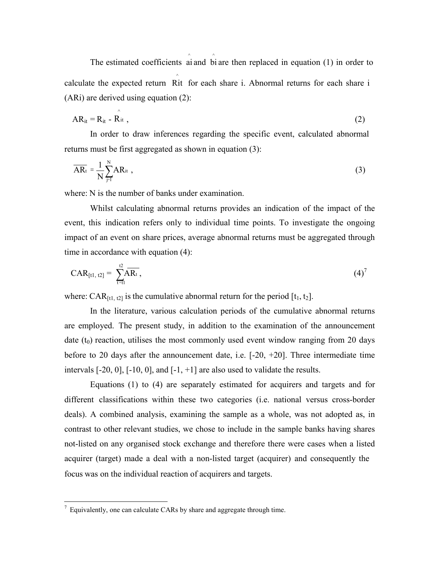The estimated coefficients  $\hat{a}$  and  $\hat{b}$  are then replaced in equation (1) in order to calculate the expected return  $\hat{R}$ it for each share i. Abnormal returns for each share i (ARi) are derived using equation (2):

$$
AR_{it} = R_{it} - \hat{R}_{it} \tag{2}
$$

In order to draw inferences regarding the specific event, calculated abnormal returns must be first aggregated as shown in equation (3):

$$
\overline{AR_t} = \frac{1}{N} \sum_{j=1}^{N} AR_{it} \tag{3}
$$

where: N is the number of banks under examination.

Whilst calculating abnormal returns provides an indication of the impact of the event, this indication refers only to individual time points. To investigate the ongoing impact of an event on share prices, average abnormal returns must be aggregated through time in accordance with equation (4):

$$
CAR_{[t1, t2]} = \sum_{t=t1}^{t2} \overline{AR_t},
$$
\n(4)

where:  $CAR_{\text{[t1, t2]}}$  is the cumulative abnormal return for the period  $[t_1, t_2]$ .

In the literature, various calculation periods of the cumulative abnormal returns are employed. The present study, in addition to the examination of the announcement date  $(t_0)$  reaction, utilises the most commonly used event window ranging from 20 days before to 20 days after the announcement date, i.e. [-20, +20]. Three intermediate time intervals  $[-20, 0]$ ,  $[-10, 0]$ , and  $[-1, +1]$  are also used to validate the results.

Equations (1) to (4) are separately estimated for acquirers and targets and for different classifications within these two categories (i.e. national versus cross-border deals). A combined analysis, examining the sample as a whole, was not adopted as, in contrast to other relevant studies, we chose to include in the sample banks having shares not-listed on any organised stock exchange and therefore there were cases when a listed acquirer (target) made a deal with a non-listed target (acquirer) and consequently the focus was on the individual reaction of acquirers and targets.

 $\frac{7}{7}$  Equivalently, one can calculate CARs by share and aggregate through time.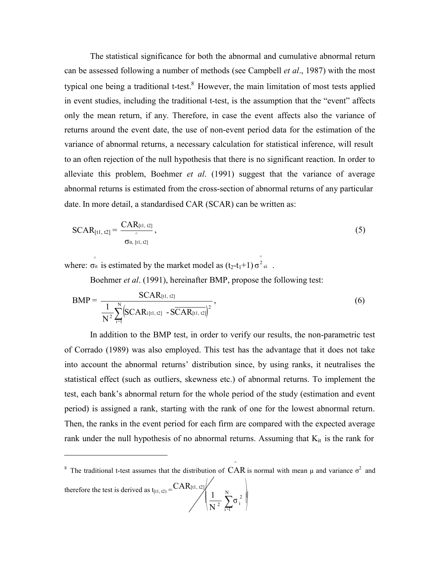The statistical significance for both the abnormal and cumulative abnormal return can be assessed following a number of methods (see Campbell *et al.*, 1987) with the most typical one being a traditional t-test. $8$  However, the main limitation of most tests applied in event studies, including the traditional t-test, is the assumption that the "event" affects only the mean return, if any. Therefore, in case the event affects also the variance of returns around the event date, the use of non-event period data for the estimation of the variance of abnormal returns, a necessary calculation for statistical inference, will result to an often rejection of the null hypothesis that there is no significant reaction. In order to alleviate this problem, Boehmer *et al.* (1991) suggest that the variance of average abnormal returns is estimated from the cross-section of abnormal returns of any particular date. In more detail, a standardised CAR (SCAR) can be written as:

$$
SCAR_{[t1, t2]} = \frac{CAR_{[t1, t2]}}{\sigma_{it, [t1, t2]}},
$$
\n(5)

 $\wedge$ where:  $\sigma_{it}$  is estimated by the market model as  $(t_2-t_1+1)\sigma^2$  ei.

Boehmer *et al.* (1991), hereinafter BMP, propose the following test:

$$
BMP = \frac{SCRR_{[t1, t2]}}{\frac{1}{N^2} \sum_{i=1}^{N} \left( SCAR_{i[t1, t2]} - SCAR_{[t1, t2]} \right)^2},
$$
(6)

In addition to the BMP test, in order to verify our results, the non-parametric test of Corrado (1989) was also employed. This test has the advantage that it does not take into account the abnormal returns' distribution since, by using ranks, it neutralises the statistical effect (such as outliers, skewness etc.) of abnormal returns. To implement the test, each bank's abnormal return for the whole period of the study (estimation and event period) is assigned a rank, starting with the rank of one for the lowest abnormal return. Then, the ranks in the event period for each firm are compared with the expected average rank under the null hypothesis of no abnormal returns. Assuming that  $K_{it}$  is the rank for

 $\sqrt{\frac{N^2}{N^2}} \sum_{i}$ <sup>8</sup> The traditional t-test assumes that the distribution of  $\hat{CAR}$  is normal with mean  $\mu$  and variance  $\sigma^2$  and therefore the test is derived as  $t_{[t1, t2)} = CAR[t1, t2]$  $\left(\frac{1}{N^2}\sum_{i=1}^N \sigma_i^2\right)$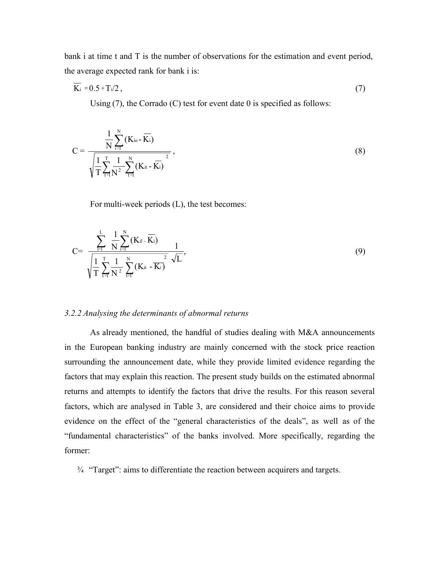bank i at time t and T is the number of observations for the estimation and event period, the average expected rank for bank i is:

$$
\overline{K_i} = 0.5 + T_i/2, \qquad (7)
$$

Using  $(7)$ , the Corrado  $(C)$  test for event date 0 is specified as follows:

$$
C = \frac{\frac{1}{N} \sum_{i=1}^{N} (K_{io} - \overline{K_{i}})}{\sqrt{\frac{1}{T} \sum_{t=1}^{T} \frac{1}{N^{2}} \sum_{t=1}^{N} (K_{it} - \overline{K_{i}})^{2}}},
$$
\n(8)

For multi-week periods (L), the test becomes:

$$
C = \frac{\sum_{i=1}^{L} \frac{1}{N} \sum_{i=1}^{N} (K_{i1} \cdot \overline{K_{i}})}{\sqrt{\frac{1}{T} \sum_{i=1}^{T} \frac{1}{N^{2}} \sum_{i=1}^{N} (K_{it} \cdot \overline{K_{i}})} \sqrt{L}},
$$
\n(9)

#### 3.2.2 Analysing the determinants of abnormal returns

As already mentioned, the handful of studies dealing with M&A announcements in the European banking industry are mainly concerned with the stock price reaction surrounding the announcement date, while they provide limited evidence regarding the factors that may explain this reaction. The present study builds on the estimated abnormal returns and attempts to identify the factors that drive the results. For this reason several factors, which are analysed in Table 3, are considered and their choice aims to provide evidence on the effect of the "general characteristics of the deals", as well as of the "fundamental characteristics" of the banks involved. More specifically, regarding the former:

¾ "Target": aims to differentiate the reaction between acquirers and targets.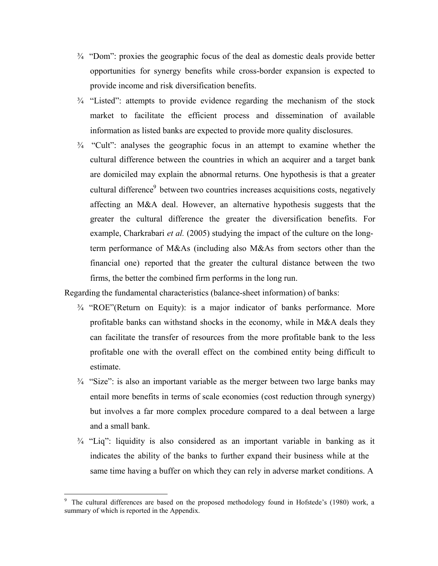- $\frac{3}{4}$  "Dom": proxies the geographic focus of the deal as domestic deals provide better opportunities for synergy benefits while cross-border expansion is expected to provide income and risk diversification benefits.
- ¾ "Listed": attempts to provide evidence regarding the mechanism of the stock market to facilitate the efficient process and dissemination of available information as listed banks are expected to provide more quality disclosures.
- ¾ "Cult": analyses the geographic focus in an attempt to examine whether the cultural difference between the countries in which an acquirer and a target bank are domiciled may explain the abnormal returns. One hypothesis is that a greater cultural difference<sup>9</sup> between two countries increases acquisitions costs, negatively affecting an M&A deal. However, an alternative hypothesis suggests that the greater the cultural difference the greater the diversification benefits. For example, Charkrabari et al. (2005) studying the impact of the culture on the longterm performance of M&As (including also M&As from sectors other than the financial one) reported that the greater the cultural distance between the two firms, the better the combined firm performs in the long run.

Regarding the fundamental characteristics (balance-sheet information) of banks:

- ¾ "ROE"(Return on Equity): is a major indicator of banks performance. More profitable banks can withstand shocks in the economy, while in M&A deals they can facilitate the transfer of resources from the more profitable bank to the less profitable one with the overall effect on the combined entity being difficult to estimate.
- $\frac{3}{4}$  "Size": is also an important variable as the merger between two large banks may entail more benefits in terms of scale economies (cost reduction through synergy) but involves a far more complex procedure compared to a deal between a large and a small bank.
- ¾ "Liq": liquidity is also considered as an important variable in banking as it indicates the ability of the banks to further expand their business while at the same time having a buffer on which they can rely in adverse market conditions. A

The cultural differences are based on the proposed methodology found in Hofstede's (1980) work, a summary of which is reported in the Appendix.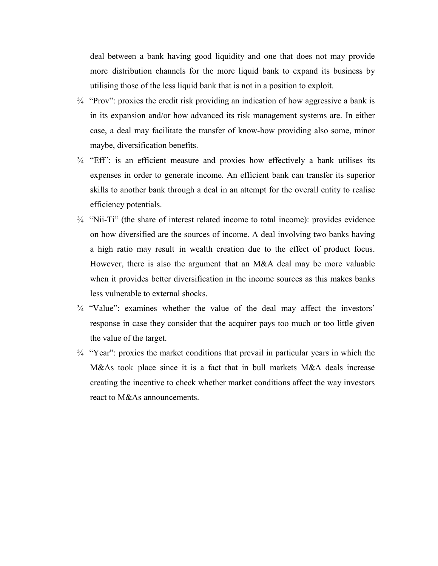deal between a bank having good liquidity and one that does not may provide more distribution channels for the more liquid bank to expand its business by utilising those of the less liquid bank that is not in a position to exploit.

- ¾ "Prov": proxies the credit risk providing an indication of how aggressive a bank is in its expansion and/or how advanced its risk management systems are. In either case, a deal may facilitate the transfer of know-how providing also some, minor maybe, diversification benefits.
- ¾ "Eff": is an efficient measure and proxies how effectively a bank utilises its expenses in order to generate income. An efficient bank can transfer its superior skills to another bank through a deal in an attempt for the overall entity to realise efficiency potentials.
- ¾ "Nii-Ti" (the share of interest related income to total income): provides evidence on how diversified are the sources of income. A deal involving two banks having a high ratio may result in wealth creation due to the effect of product focus. However, there is also the argument that an M&A deal may be more valuable when it provides better diversification in the income sources as this makes banks less vulnerable to external shocks.
- $\frac{3}{4}$  "Value": examines whether the value of the deal may affect the investors' response in case they consider that the acquirer pays too much or too little given the value of the target.
- ¾ "Year": proxies the market conditions that prevail in particular years in which the M&As took place since it is a fact that in bull markets M&A deals increase creating the incentive to check whether market conditions affect the way investors react to M&As announcements.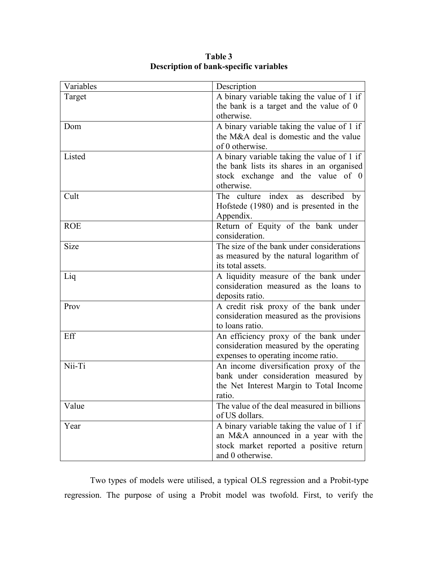| Variables  | Description                                                                                                                                      |
|------------|--------------------------------------------------------------------------------------------------------------------------------------------------|
| Target     | A binary variable taking the value of 1 if<br>the bank is a target and the value of 0<br>otherwise.                                              |
| Dom        | A binary variable taking the value of 1 if<br>the M&A deal is domestic and the value<br>of 0 otherwise.                                          |
| Listed     | A binary variable taking the value of 1 if<br>the bank lists its shares in an organised<br>stock exchange and the value of 0<br>otherwise.       |
| Cult       | The culture index as described<br>by<br>Hofstede (1980) and is presented in the<br>Appendix.                                                     |
| <b>ROE</b> | Return of Equity of the bank under<br>consideration.                                                                                             |
| Size       | The size of the bank under considerations<br>as measured by the natural logarithm of<br>its total assets.                                        |
| Liq        | A liquidity measure of the bank under<br>consideration measured as the loans to<br>deposits ratio.                                               |
| Prov       | A credit risk proxy of the bank under<br>consideration measured as the provisions<br>to loans ratio.                                             |
| Eff        | An efficiency proxy of the bank under<br>consideration measured by the operating<br>expenses to operating income ratio.                          |
| Nii-Ti     | An income diversification proxy of the<br>bank under consideration measured by<br>the Net Interest Margin to Total Income<br>ratio.              |
| Value      | The value of the deal measured in billions<br>of US dollars.                                                                                     |
| Year       | A binary variable taking the value of 1 if<br>an M&A announced in a year with the<br>stock market reported a positive return<br>and 0 otherwise. |

**Table 3 Description of bank-specific variables** 

Two types of models were utilised, a typical OLS regression and a Probit-type regression. The purpose of using a Probit model was twofold. First, to verify the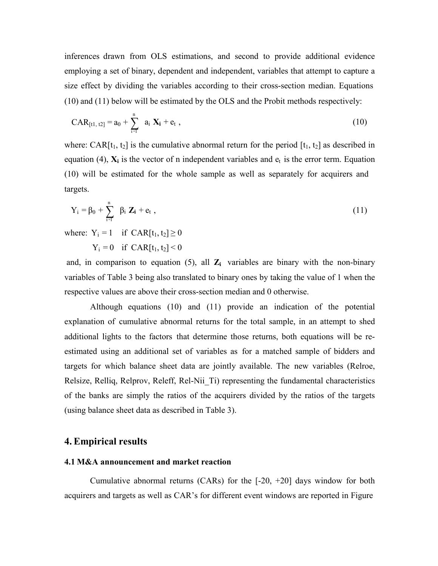inferences drawn from OLS estimations, and second to provide additional evidence employing a set of binary, dependent and independent, variables that attempt to capture a size effect by dividing the variables according to their cross-section median. Equations (10) and (11) below will be estimated by the OLS and the Probit methods respectively:

$$
CAR_{[t1, t2]} = a_0 + \sum_{i=1}^{n} a_i \mathbf{X}_i + e_t ,
$$
 (10)

where: CAR $[t_1, t_2]$  is the cumulative abnormal return for the period  $[t_1, t_2]$  as described in equation (4),  $X_i$  is the vector of n independent variables and  $e_t$  is the error term. Equation (10) will be estimated for the whole sample as well as separately for acquirers and targets.

$$
Y_i = \beta_0 + \sum_{i=1}^n \beta_i \mathbf{Z}_i + e_t , \qquad (11)
$$

where:  $Y_i = 1$  if  $CAR[t_1, t_2] \ge 0$ 

$$
Y_i = 0 \quad \text{if } CAR[t_1, t_2] \leq 0
$$

and, in comparison to equation (5), all  $Z_i$  variables are binary with the non-binary variables of Table 3 being also translated to binary ones by taking the value of 1 when the respective values are above their cross-section median and 0 otherwise.

Although equations (10) and (11) provide an indication of the potential explanation of cumulative abnormal returns for the total sample, in an attempt to shed additional lights to the factors that determine those returns, both equations will be reestimated using an additional set of variables as for a matched sample of bidders and targets for which balance sheet data are jointly available. The new variables (Relroe, Relsize, Relliq, Relprov, Releff, Rel-Nii\_Ti) representing the fundamental characteristics of the banks are simply the ratios of the acquirers divided by the ratios of the targets (using balance sheet data as described in Table 3).

## **4. Empirical results**

#### **4.1 M&A announcement and market reaction**

Cumulative abnormal returns (CARs) for the  $[-20, +20]$  days window for both acquirers and targets as well as CAR's for different event windows are reported in Figure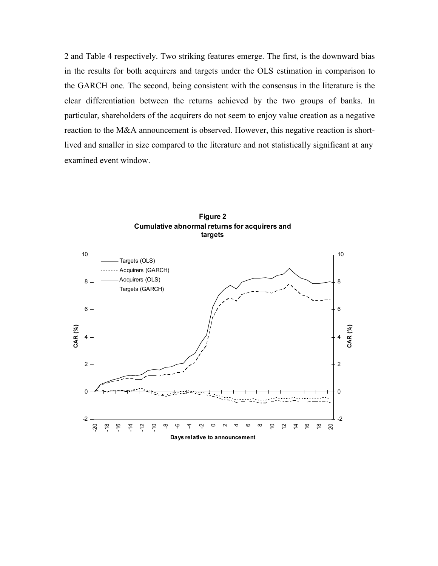2 and Table 4 respectively. Two striking features emerge. The first, is the downward bias in the results for both acquirers and targets under the OLS estimation in comparison to the GARCH one. The second, being consistent with the consensus in the literature is the clear differentiation between the returns achieved by the two groups of banks. In particular, shareholders of the acquirers do not seem to enjoy value creation as a negative reaction to the M&A announcement is observed. However, this negative reaction is shortlived and smaller in size compared to the literature and not statistically significant at any examined event window.



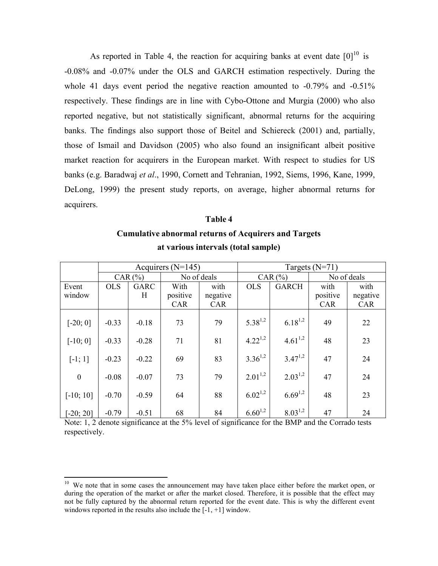As reported in Table 4, the reaction for acquiring banks at event date  $[0]^{10}$  is -0.08% and -0.07% under the OLS and GARCH estimation respectively. During the whole 41 days event period the negative reaction amounted to -0.79% and -0.51% respectively. These findings are in line with Cybo-Ottone and Murgia (2000) who also reported negative, but not statistically significant, abnormal returns for the acquiring banks. The findings also support those of Beitel and Schiereck (2001) and, partially, those of Ismail and Davidson (2005) who also found an insignificant albeit positive market reaction for acquirers in the European market. With respect to studies for US banks (e.g. Baradwaj *et al.*, 1990, Cornett and Tehranian, 1992, Siems, 1996, Kane, 1999, DeLong, 1999) the present study reports, on average, higher abnormal returns for acquirers.

# Table 4 **Cumulative abnormal returns of Acquirers and Targets** at various intervals (total sample)

|                  |            |                       | Acquirers $(N=145)$ |          | Targets $(N=71)$ |                                  |             |          |  |
|------------------|------------|-----------------------|---------------------|----------|------------------|----------------------------------|-------------|----------|--|
|                  |            | $CAR$ $\frac{\%}{\%}$ | No of deals         |          |                  | $CAR$ $\left(\frac{9}{0}\right)$ | No of deals |          |  |
| Event            | <b>OLS</b> | <b>GARC</b>           | With                | with     | <b>OLS</b>       | <b>GARCH</b>                     | with        | with     |  |
| window           |            | H                     | positive            | negative |                  |                                  | positive    | negative |  |
|                  |            |                       | CAR                 | CAR      |                  |                                  | CAR         | CAR      |  |
| $[-20; 0]$       | $-0.33$    | $-0.18$               | 73                  | 79       | $5.38^{1,2}$     | $6.18^{1,2}$                     | 49          | 22       |  |
| $[-10; 0]$       | $-0.33$    | $-0.28$               | 71                  | 81       | $4.22^{1,2}$     | $4.61^{1,2}$                     | 48          | 23       |  |
| $[-1; 1]$        | $-0.23$    | $-0.22$               | 69                  | 83       | $3.36^{1,2}$     | $3.47^{1,2}$                     | 47          | 24       |  |
| $\boldsymbol{0}$ | $-0.08$    | $-0.07$               | 73                  | 79       | $2.01^{1,2}$     | $2.03^{1,2}$                     | 47          | 24       |  |
| $[-10; 10]$      | $-0.70$    | $-0.59$               | 64                  | 88       | $6.02^{1,2}$     | $6.69^{1,2}$                     | 48          | 23       |  |
| $[-20; 20]$      | $-0.79$    | $-0.51$               | 68                  | 84       | $6.60^{1,2}$     | $8.03^{1,2}$                     | 47          | 24       |  |

Note: 1, 2 denote significance at the 5% level of significance for the BMP and the Corrado tests respectively.

 $10$  We note that in some cases the announcement may have taken place either before the market open, or during the operation of the market or after the market closed. Therefore, it is possible that the effect may not be fully captured by the abnormal return reported for the event date. This is why the different event windows reported in the results also include the [-1, +1] window.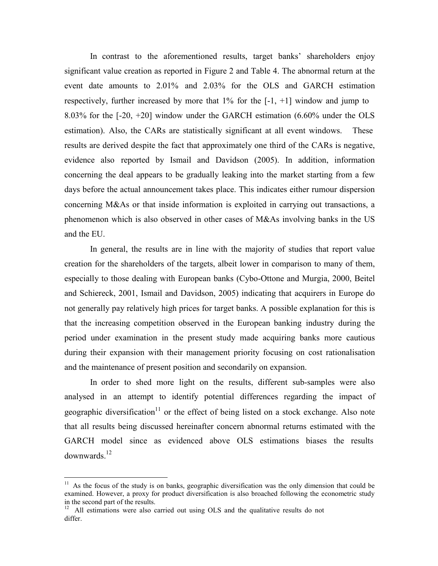In contrast to the aforementioned results, target banks' shareholders enjoy significant value creation as reported in Figure 2 and Table 4. The abnormal return at the event date amounts to 2.01% and 2.03% for the OLS and GARCH estimation respectively, further increased by more that  $1\%$  for the  $[-1, +1]$  window and jump to 8.03% for the [-20, +20] window under the GARCH estimation (6.60% under the OLS estimation). Also, the CARs are statistically significant at all event windows. These results are derived despite the fact that approximately one third of the CARs is negative, evidence also reported by Ismail and Davidson (2005). In addition, information concerning the deal appears to be gradually leaking into the market starting from a few days before the actual announcement takes place. This indicates either rumour dispersion concerning M&As or that inside information is exploited in carrying out transactions, a phenomenon which is also observed in other cases of M&As involving banks in the US and the EU.

In general, the results are in line with the majority of studies that report value creation for the shareholders of the targets, albeit lower in comparison to many of them, especially to those dealing with European banks (Cybo-Ottone and Murgia, 2000, Beitel and Schiereck, 2001, Ismail and Davidson, 2005) indicating that acquirers in Europe do not generally pay relatively high prices for target banks. A possible explanation for this is that the increasing competition observed in the European banking industry during the period under examination in the present study made acquiring banks more cautious during their expansion with their management priority focusing on cost rationalisation and the maintenance of present position and secondarily on expansion.

In order to shed more light on the results, different sub-samples were also analysed in an attempt to identify potential differences regarding the impact of geographic diversification<sup>11</sup> or the effect of being listed on a stock exchange. Also note that all results being discussed hereinafter concern abnormal returns estimated with the GARCH model since as evidenced above OLS estimations biases the results downwards.<sup>12</sup>

 $11$  As the focus of the study is on banks, geographic diversification was the only dimension that could be examined. However, a proxy for product diversification is also broached following the econometric study in the second part of the results.

 $12$  All estimations were also carried out using OLS and the qualitative results do not differ.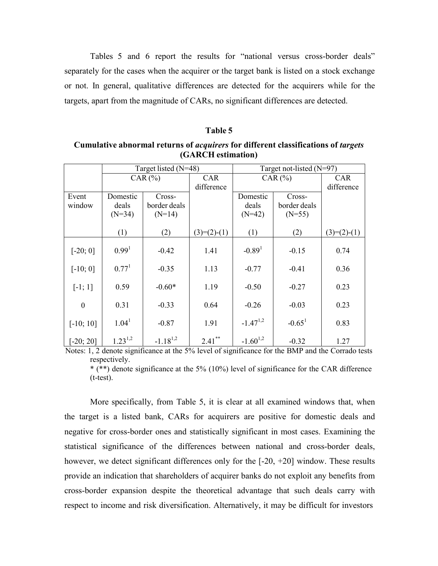Tables 5 and 6 report the results for "national versus cross-border deals" separately for the cases when the acquirer or the target bank is listed on a stock exchange or not. In general, qualitative differences are detected for the acquirers while for the targets, apart from the magnitude of CARs, no significant differences are detected.

#### Table 5

## Cumulative abnormal returns of *acquirers* for different classifications of targets  $(GARCH$  estimation)

|                  |                   | Target listed (N=48) |               | Target not-listed $(N=97)$ |                       |               |  |  |
|------------------|-------------------|----------------------|---------------|----------------------------|-----------------------|---------------|--|--|
|                  |                   | $CAR$ (%)            | <b>CAR</b>    |                            | $CAR$ $(\frac{6}{6})$ | <b>CAR</b>    |  |  |
|                  |                   |                      | difference    |                            |                       | difference    |  |  |
| Event            | Domestic          | Cross-               |               | Domestic                   | Cross-                |               |  |  |
| window           | deals             | border deals         |               | deals                      | border deals          |               |  |  |
|                  | $(N=34)$          | $(N=14)$             |               | $(N=42)$                   | $(N=55)$              |               |  |  |
|                  |                   |                      |               |                            |                       |               |  |  |
|                  | (1)               | (2)                  | $(3)=(2)-(1)$ | (1)                        | (2)                   | $(3)=(2)-(1)$ |  |  |
|                  |                   |                      |               |                            |                       |               |  |  |
| $[-20; 0]$       | 0.99 <sup>1</sup> | $-0.42$              | 1.41          | $-0.891$                   | $-0.15$               | 0.74          |  |  |
|                  |                   |                      |               |                            |                       |               |  |  |
| $[-10; 0]$       | 0.77 <sup>1</sup> | $-0.35$              | 1.13          | $-0.77$                    | $-0.41$               | 0.36          |  |  |
|                  |                   |                      |               |                            |                       |               |  |  |
| $[-1; 1]$        | 0.59              | $-0.60*$             | 1.19          | $-0.50$                    | $-0.27$               | 0.23          |  |  |
|                  |                   |                      |               |                            |                       |               |  |  |
| $\boldsymbol{0}$ | 0.31              | $-0.33$              | 0.64          | $-0.26$                    | $-0.03$               | 0.23          |  |  |
| $[-10; 10]$      | 1.04 <sup>1</sup> | $-0.87$              | 1.91          | $-1.47^{1,2}$              | $-0.651$              | 0.83          |  |  |
|                  |                   |                      |               |                            |                       |               |  |  |
| $[-20; 20]$      | $1.23^{1,2}$      | $-1.18^{1,2}$        | $2.41$ **     | $-1.60^{1,2}$              | $-0.32$               | 1.27          |  |  |

Notes: 1, 2 denote significance at the 5% level of significance for the BMP and the Corrado tests respectively.

\* (\*\*) denote significance at the 5% (10%) level of significance for the CAR difference (t-test).

More specifically, from Table 5, it is clear at all examined windows that, when the target is a listed bank, CARs for acquirers are positive for domestic deals and negative for cross-border ones and statistically significant in most cases. Examining the statistical significance of the differences between national and cross-border deals, however, we detect significant differences only for the  $[-20, +20]$  window. These results provide an indication that shareholders of acquirer banks do not exploit any benefits from cross-border expansion despite the theoretical advantage that such deals carry with respect to income and risk diversification. Alternatively, it may be difficult for investors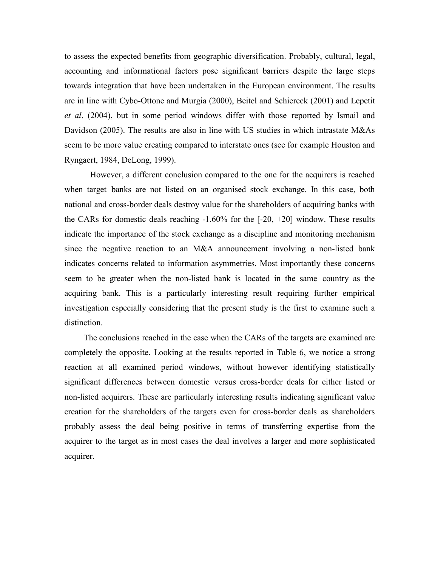to assess the expected benefits from geographic diversification. Probably, cultural, legal, accounting and informational factors pose significant barriers despite the large steps towards integration that have been undertaken in the European environment. The results are in line with Cybo-Ottone and Murgia (2000), Beitel and Schiereck (2001) and Lepetit et al. (2004), but in some period windows differ with those reported by Ismail and Davidson (2005). The results are also in line with US studies in which intrastate M&As seem to be more value creating compared to interstate ones (see for example Houston and Ryngaert, 1984, DeLong, 1999).

However, a different conclusion compared to the one for the acquirers is reached when target banks are not listed on an organised stock exchange. In this case, both national and cross-border deals destroy value for the shareholders of acquiring banks with the CARs for domestic deals reaching -1.60% for the [-20, +20] window. These results indicate the importance of the stock exchange as a discipline and monitoring mechanism since the negative reaction to an M&A announcement involving a non-listed bank indicates concerns related to information asymmetries. Most importantly these concerns seem to be greater when the non-listed bank is located in the same country as the acquiring bank. This is a particularly interesting result requiring further empirical investigation especially considering that the present study is the first to examine such a distinction.

The conclusions reached in the case when the CARs of the targets are examined are completely the opposite. Looking at the results reported in Table 6, we notice a strong reaction at all examined period windows, without however identifying statistically significant differences between domestic versus cross-border deals for either listed or non-listed acquirers. These are particularly interesting results indicating significant value creation for the shareholders of the targets even for cross-border deals as shareholders probably assess the deal being positive in terms of transferring expertise from the acquirer to the target as in most cases the deal involves a larger and more sophisticated acquirer.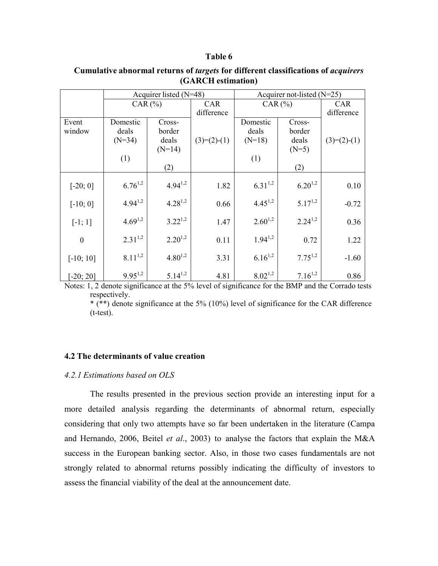#### Table 6

|                 |                               | Acquirer listed (N=48)    |               | Acquirer not-listed (N=25)    |                           |               |  |
|-----------------|-------------------------------|---------------------------|---------------|-------------------------------|---------------------------|---------------|--|
|                 | $CAR$ $%$                     |                           | CAR           | $CAR$ (%)                     | CAR                       |               |  |
|                 |                               |                           | difference    |                               |                           | difference    |  |
| Event<br>window | Domestic<br>deals<br>$(N=34)$ | Cross-<br>border<br>deals | $(3)=(2)-(1)$ | Domestic<br>deals<br>$(N=18)$ | Cross-<br>border<br>deals | $(3)=(2)-(1)$ |  |
|                 | (1)                           | $(N=14)$<br>(2)           |               | (1)                           | $(N=5)$<br>(2)            |               |  |
| $[-20; 0]$      | $6.76^{1,2}$                  | $4.94^{1,2}$              | 1.82          | $6.31^{1,2}$                  | $6.20^{1,2}$              | 0.10          |  |
| $[-10; 0]$      | $4.94^{1,2}$                  | $4.28^{1,2}$              | 0.66          | $4.45^{1,2}$                  | $5.17^{1,2}$              | $-0.72$       |  |
| $[-1; 1]$       | $4.69^{1,2}$                  | $3.22^{1,2}$              | 1.47          | $2.60^{1,2}$                  | $2.24^{1,2}$              | 0.36          |  |
| $\mathbf{0}$    | $2.31^{1,2}$                  | $2.20^{1,2}$              | 0.11          | $1.94^{1,2}$                  | 0.72                      | 1.22          |  |
| $[-10; 10]$     | $8.11^{1,2}$                  | $4.80^{1,2}$              | 3.31          | $6.16^{1,2}$                  | $7.75^{1,2}$              | $-1.60$       |  |
| $[-20; 20]$     | $9.95^{1,2}$                  | $5.14^{1,2}$              | 4.81          | $8.02^{1,2}$                  | $7.16^{1,2}$              | 0.86          |  |

### Cumulative abnormal returns of targets for different classifications of acquirers  $(GARCH$  estimation)

Notes: 1, 2 denote significance at the 5% level of significance for the BMP and the Corrado tests respectively.

 $*(**)$  denote significance at the 5% (10%) level of significance for the CAR difference (t-test).

#### **4.2 The determinants of value creation**

#### 4.2.1 Estimations based on OLS

The results presented in the previous section provide an interesting input for a more detailed analysis regarding the determinants of abnormal return, especially considering that only two attempts have so far been undertaken in the literature (Campa and Hernando, 2006, Beitel *et al.*, 2003) to analyse the factors that explain the M&A success in the European banking sector. Also, in those two cases fundamentals are not strongly related to abnormal returns possibly indicating the difficulty of investors to assess the financial viability of the deal at the announcement date.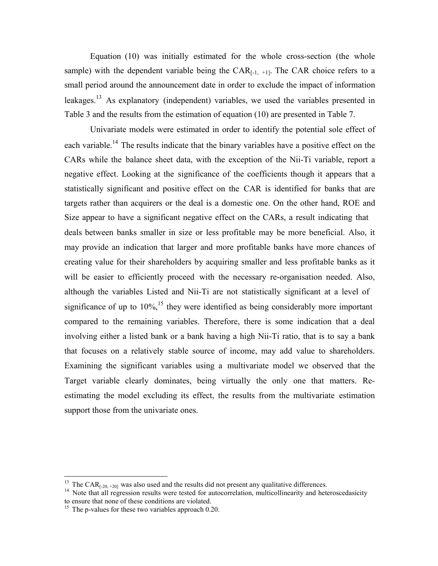Equation (10) was initially estimated for the whole cross-section (the whole sample) with the dependent variable being the  $CAR_{[-1, +1]}$ . The CAR choice refers to a small period around the announcement date in order to exclude the impact of information leakages.<sup>13</sup> As explanatory (independent) variables, we used the variables presented in Table 3 and the results from the estimation of equation (10) are presented in Table 7.

Univariate models were estimated in order to identify the potential sole effect of each variable.<sup>14</sup> The results indicate that the binary variables have a positive effect on the CARs while the balance sheet data, with the exception of the Nii-Ti variable, report a negative effect. Looking at the significance of the coefficients though it appears that a statistically significant and positive effect on the CAR is identified for banks that are targets rather than acquirers or the deal is a domestic one. On the other hand, ROE and Size appear to have a significant negative effect on the CARs, a result indicating that deals between banks smaller in size or less profitable may be more beneficial. Also, it may provide an indication that larger and more profitable banks have more chances of creating value for their shareholders by acquiring smaller and less profitable banks as it will be easier to efficiently proceed with the necessary re-organisation needed. Also, although the variables Listed and Nii-Ti are not statistically significant at a level of significance of up to  $10\%$ , <sup>15</sup> they were identified as being considerably more important compared to the remaining variables. Therefore, there is some indication that a deal involving either a listed bank or a bank having a high Nii-Ti ratio, that is to say a bank that focuses on a relatively stable source of income, may add value to shareholders. Examining the significant variables using a multivariate model we observed that the Target variable clearly dominates, being virtually the only one that matters. Reestimating the model excluding its effect, the results from the multivariate estimation support those from the univariate ones.

<sup>&</sup>lt;sup>13</sup> The CAR<sub>[-20, +20]</sub> was also used and the results did not present any qualitative differences.

<sup>&</sup>lt;sup>14</sup> Note that all regression results were tested for autocorrelation, multicollinearity and heteroscedasicity to ensure that none of these conditions are violated.

 $15$  The p-values for these two variables approach 0.20.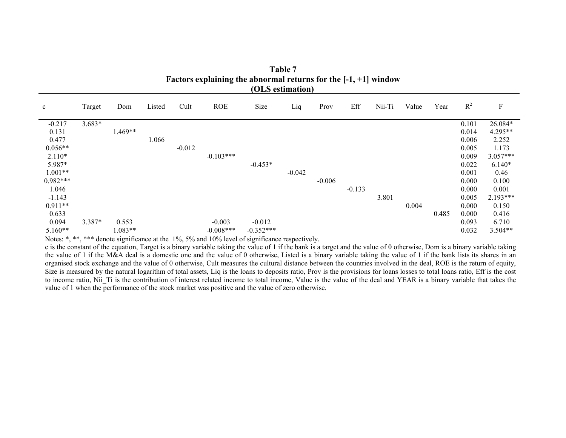|             | (OLS estimation) |           |        |          |              |             |          |          |          |        |       |       |       |                           |
|-------------|------------------|-----------|--------|----------|--------------|-------------|----------|----------|----------|--------|-------|-------|-------|---------------------------|
| $\mathbf c$ | Target           | Dom       | Listed | Cult     | <b>ROE</b>   | Size        | Liq      | Prov     | Eff      | Nii-Ti | Value | Year  | $R^2$ | $\boldsymbol{\mathrm{F}}$ |
| $-0.217$    | $3.683*$         |           |        |          |              |             |          |          |          |        |       |       | 0.101 | 26.084*                   |
| 0.131       |                  | 1.469**   |        |          |              |             |          |          |          |        |       |       | 0.014 | $4.295**$                 |
| 0.477       |                  |           | 1.066  |          |              |             |          |          |          |        |       |       | 0.006 | 2.252                     |
| $0.056**$   |                  |           |        | $-0.012$ |              |             |          |          |          |        |       |       | 0.005 | 1.173                     |
| $2.110*$    |                  |           |        |          | $-0.103***$  |             |          |          |          |        |       |       | 0.009 | $3.057***$                |
| 5.987*      |                  |           |        |          |              | $-0.453*$   |          |          |          |        |       |       | 0.022 | $6.140*$                  |
| $1.001**$   |                  |           |        |          |              |             | $-0.042$ |          |          |        |       |       | 0.001 | 0.46                      |
| $0.982***$  |                  |           |        |          |              |             |          | $-0.006$ |          |        |       |       | 0.000 | 0.100                     |
| 1.046       |                  |           |        |          |              |             |          |          | $-0.133$ |        |       |       | 0.000 | 0.001                     |
| $-1.143$    |                  |           |        |          |              |             |          |          |          | 3.801  |       |       | 0.005 | $2.193***$                |
| $0.911**$   |                  |           |        |          |              |             |          |          |          |        | 0.004 |       | 0.000 | 0.150                     |
| 0.633       |                  |           |        |          |              |             |          |          |          |        |       | 0.485 | 0.000 | 0.416                     |
| 0.094       | 3.387*           | 0.553     |        |          | $-0.003$     | $-0.012$    |          |          |          |        |       |       | 0.093 | 6.710                     |
| $5.160**$   |                  | $1.083**$ |        |          | $-0.008$ *** | $-0.352***$ |          |          |          |        |       |       | 0.032 | $3.504**$                 |

Table 7 Factors explaining the abnormal returns for the [-1, +1] window

Notes: \*, \*\*, \*\*\* denote significance at the 1%, 5% and 10% level of significance respectively.

 c is the constant of the equation, Target is a binary variable taking the value of 1 if the bank is a target and the value of 0 otherwise, Dom is a binary variable taking the value of 1 if the M&A deal is a domestic one and the value of 0 otherwise, Listed is a binary variable taking the value of 1 if the bank lists its shares in an organised stock exchange and the value of 0 otherwise, Cult measures the cultural distance between the countries involved in the deal, ROE is the return of equity, Size is measured by the natural logarithm of total assets, Liq is the loans to deposits ratio, Prov is the provisions for loans losses to total loans ratio, Eff is the cost to income ratio, Nii\_Ti is the contribution of interest related income to total income, Value is the value of the deal and YEAR is a binary variable that takes the value of 1 when the performance of the stock market was positive and the value of zero otherwise.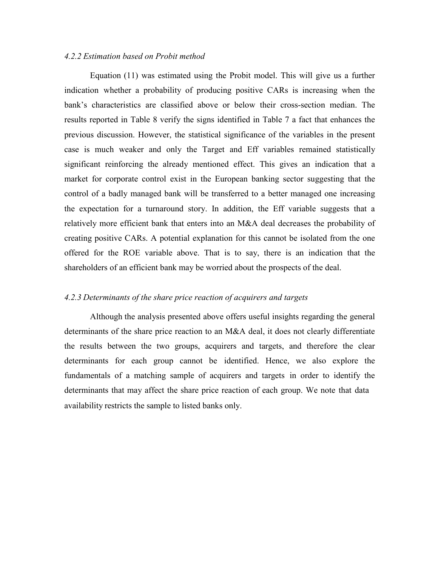#### 4.2.2 Estimation based on Probit method

Equation (11) was estimated using the Probit model. This will give us a further indication whether a probability of producing positive CARs is increasing when the bank's characteristics are classified above or below their cross-section median. The results reported in Table 8 verify the signs identified in Table 7 a fact that enhances the previous discussion. However, the statistical significance of the variables in the present case is much weaker and only the Target and Eff variables remained statistically significant reinforcing the already mentioned effect. This gives an indication that a market for corporate control exist in the European banking sector suggesting that the control of a badly managed bank will be transferred to a better managed one increasing the expectation for a turnaround story. In addition, the Eff variable suggests that a relatively more efficient bank that enters into an M&A deal decreases the probability of creating positive CARs. A potential explanation for this cannot be isolated from the one offered for the ROE variable above. That is to say, there is an indication that the shareholders of an efficient bank may be worried about the prospects of the deal.

#### 4.2.3 Determinants of the share price reaction of acquirers and targets

Although the analysis presented above offers useful insights regarding the general determinants of the share price reaction to an M&A deal, it does not clearly differentiate the results between the two groups, acquirers and targets, and therefore the clear determinants for each group cannot be identified. Hence, we also explore the fundamentals of a matching sample of acquirers and targets in order to identify the determinants that may affect the share price reaction of each group. We note that data availability restricts the sample to listed banks only.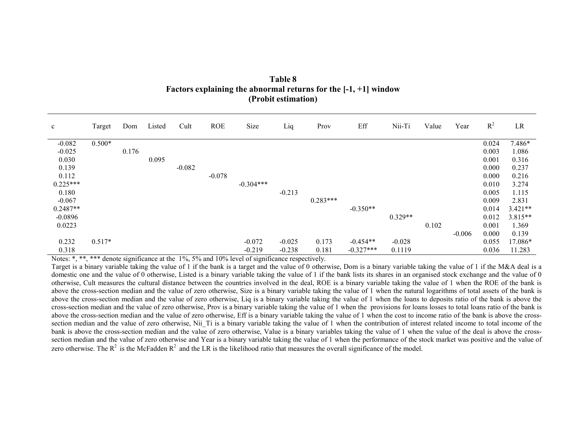| <b>Table 8</b>                                                    |
|-------------------------------------------------------------------|
| Factors explaining the abnormal returns for the $[-1, +1]$ window |
| (Probit estimation)                                               |

| $\mathbf c$ | Target   | Dom   | Listed | Cult     | <b>ROE</b> | Size        | Liq      | Prov       | Eff         | Nii-Ti    | Value | Year     | $R^2$ | LR        |
|-------------|----------|-------|--------|----------|------------|-------------|----------|------------|-------------|-----------|-------|----------|-------|-----------|
| $-0.082$    | $0.500*$ |       |        |          |            |             |          |            |             |           |       |          | 0.024 | 7.486*    |
| $-0.025$    |          | 0.176 |        |          |            |             |          |            |             |           |       |          | 0.003 | 1.086     |
| 0.030       |          |       | 0.095  |          |            |             |          |            |             |           |       |          | 0.001 | 0.316     |
| 0.139       |          |       |        | $-0.082$ |            |             |          |            |             |           |       |          | 0.000 | 0.237     |
| 0.112       |          |       |        |          | $-0.078$   |             |          |            |             |           |       |          | 0.000 | 0.216     |
| $0.225***$  |          |       |        |          |            | $-0.304***$ |          |            |             |           |       |          | 0.010 | 3.274     |
| 0.180       |          |       |        |          |            |             | $-0.213$ |            |             |           |       |          | 0.005 | 1.115     |
| $-0.067$    |          |       |        |          |            |             |          | $0.283***$ |             |           |       |          | 0.009 | 2.831     |
| $0.2487**$  |          |       |        |          |            |             |          |            | $-0.350**$  |           |       |          | 0.014 | $3.421**$ |
| $-0.0896$   |          |       |        |          |            |             |          |            |             | $0.329**$ |       |          | 0.012 | $3.815**$ |
| 0.0223      |          |       |        |          |            |             |          |            |             |           | 0.102 |          | 0.001 | 1.369     |
|             |          |       |        |          |            |             |          |            |             |           |       | $-0.006$ | 0.000 | 0.139     |
| 0.232       | $0.517*$ |       |        |          |            | $-0.072$    | $-0.025$ | 0.173      | $-0.454**$  | $-0.028$  |       |          | 0.055 | 17.086*   |
| 0.318       |          |       |        |          |            | $-0.219$    | $-0.238$ | 0.181      | $-0.327***$ | 0.1119    |       |          | 0.036 | 11.283    |

Notes: \*, \*\*, \*\*\* denote significance at the 1%, 5% and 10% level of significance respectively.

Target is a binary variable taking the value of 1 if the bank is a target and the value of 0 otherwise, Dom is a binary variable taking the value of 1 if the M&A deal is a domestic one and the value of 0 otherwise, Listed is a binary variable taking the value of 1 if the bank lists its shares in an organised stock exchange and the value of 0 otherwise, Cult measures the cultural distance between the countries involved in the deal, ROE is a binary variable taking the value of 1 when the ROE of the bank is above the cross-section median and the value of zero otherwise, Size is a binary variable taking the value of 1 when the natural logarithms of total assets of the bank is above the cross-section median and the value of zero otherwise, Liq is a binary variable taking the value of 1 when the loans to deposits ratio of the bank is above the cross-section median and the value of zero otherwise, Prov is a binary variable taking the value of 1 when the provisions for loans losses to total loans ratio of the bank is above the cross-section median and the value of zero otherwise, Eff is a binary variable taking the value of 1 when the cost to income ratio of the bank is above the crosssection median and the value of zero otherwise, Nii. Ti is a binary variable taking the value of 1 when the contribution of interest related income to total income of the bank is above the cross-section median and the value of zero otherwise, Value is a binary variables taking the value of 1 when the value of the deal is above the crosssection median and the value of zero otherwise and Year is a binary variable taking the value of 1 when the performance of the stock market was positive and the value of zero otherwise. The  $R^2$  is the McFadden  $R^2$  and the LR is the likelihood ratio that measures the overall significance of the model.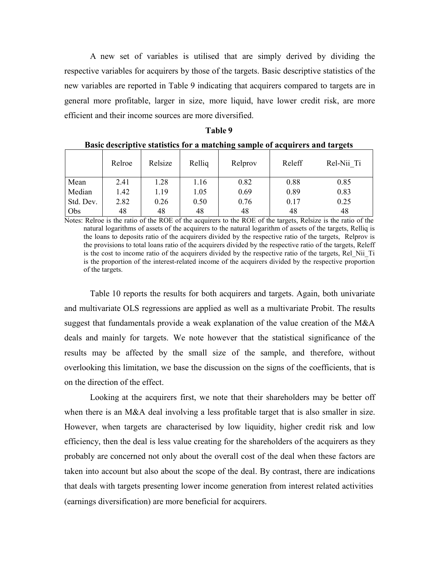A new set of variables is utilised that are simply derived by dividing the respective variables for acquirers by those of the targets. Basic descriptive statistics of the new variables are reported in Table 9 indicating that acquirers compared to targets are in general more profitable, larger in size, more liquid, have lower credit risk, are more efficient and their income sources are more diversified.

#### Table 9

|           | Relroe | Relsize | Rellig | Relprov | Releff | Rel-Nii Ti |
|-----------|--------|---------|--------|---------|--------|------------|
| Mean      | 2.41   | 1.28    | 1.16   | 0.82    | 0.88   | 0.85       |
| Median    | 1.42   | 1.19    | 1.05   | 0.69    | 0.89   | 0.83       |
| Std. Dev. | 2.82   | 0.26    | 0.50   | 0.76    | 0.17   | 0.25       |
| Obs       | 48     | 48      | 48     | 48      | 48     | 48         |

#### **Basic descriptive statistics for a matching sample of acquirers and targets**

Notes: Relroe is the ratio of the ROE of the acquirers to the ROE of the targets, Relsize is the ratio of the natural logarithms of assets of the acquirers to the natural logarithm of assets of the targets, Relliq is the loans to deposits ratio of the acquirers divided by the respective ratio of the targets, Relprov is the provisions to total loans ratio of the acquirers divided by the respective ratio of the targets, Releff is the cost to income ratio of the acquirers divided by the respective ratio of the targets, Rel\_Nii\_Ti is the proportion of the interest-related income of the acquirers divided by the respective proportion of the targets.

Table 10 reports the results for both acquirers and targets. Again, both univariate and multivariate OLS regressions are applied as well as a multivariate Probit. The results suggest that fundamentals provide a weak explanation of the value creation of the M&A deals and mainly for targets. We note however that the statistical significance of the results may be affected by the small size of the sample, and therefore, without overlooking this limitation, we base the discussion on the signs of the coefficients, that is on the direction of the effect.

Looking at the acquirers first, we note that their shareholders may be better off when there is an M&A deal involving a less profitable target that is also smaller in size. However, when targets are characterised by low liquidity, higher credit risk and low efficiency, then the deal is less value creating for the shareholders of the acquirers as they probably are concerned not only about the overall cost of the deal when these factors are taken into account but also about the scope of the deal. By contrast, there are indications that deals with targets presenting lower income generation from interest related activities (earnings diversification) are more beneficial for acquirers.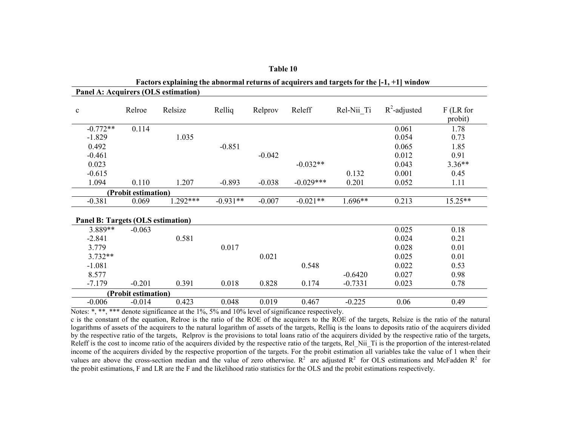|                                          |                     |            |            |          |             |            | Factors explaining the abnormal returns of acquirers and targets for the $[-1, +1]$ window |                        |
|------------------------------------------|---------------------|------------|------------|----------|-------------|------------|--------------------------------------------------------------------------------------------|------------------------|
| Panel A: Acquirers (OLS estimation)      |                     |            |            |          |             |            |                                                                                            |                        |
| $\mathbf c$                              | Relroe              | Relsize    | Relliq     | Relprov  | Releff      | Rel-Nii Ti | $R^2$ -adjusted                                                                            | $F$ (LR for<br>probit) |
| $-0.772**$                               | 0.114               |            |            |          |             |            | 0.061                                                                                      | 1.78                   |
| $-1.829$                                 |                     | 1.035      |            |          |             |            | 0.054                                                                                      | 0.73                   |
| 0.492                                    |                     |            | $-0.851$   |          |             |            | 0.065                                                                                      | 1.85                   |
| $-0.461$                                 |                     |            |            | $-0.042$ |             |            | 0.012                                                                                      | 0.91                   |
| 0.023                                    |                     |            |            |          | $-0.032**$  |            | 0.043                                                                                      | $3.36**$               |
| $-0.615$                                 |                     |            |            |          |             | 0.132      | 0.001                                                                                      | 0.45                   |
| 1.094                                    | 0.110               | 1.207      | $-0.893$   | $-0.038$ | $-0.029***$ | 0.201      | 0.052                                                                                      | 1.11                   |
|                                          | (Probit estimation) |            |            |          |             |            |                                                                                            |                        |
| $-0.381$                                 | 0.069               | $1.292***$ | $-0.931**$ | $-0.007$ | $-0.021**$  | $1.696**$  | 0.213                                                                                      | $15.25**$              |
| <b>Panel B: Targets (OLS estimation)</b> |                     |            |            |          |             |            |                                                                                            |                        |
| 3.889**                                  | $-0.063$            |            |            |          |             |            | 0.025                                                                                      | 0.18                   |
| $-2.841$                                 |                     | 0.581      |            |          |             |            | 0.024                                                                                      | 0.21                   |
| 3.779                                    |                     |            | 0.017      |          |             |            | 0.028                                                                                      | 0.01                   |
| $3.732**$                                |                     |            |            | 0.021    |             |            | 0.025                                                                                      | 0.01                   |
| $-1.081$                                 |                     |            |            |          | 0.548       |            | 0.022                                                                                      | 0.53                   |
| 8.577                                    |                     |            |            |          |             | $-0.6420$  | 0.027                                                                                      | 0.98                   |
| $-7.179$                                 | $-0.201$            | 0.391      | 0.018      | 0.828    | 0.174       | $-0.7331$  | 0.023                                                                                      | 0.78                   |
|                                          | (Probit estimation) |            |            |          |             |            |                                                                                            |                        |
| $-0.006$                                 | $-0.014$            | 0.423      | 0.048      | 0.019    | 0.467       | $-0.225$   | 0.06                                                                                       | 0.49                   |

|                                                | Factors explaining the abnormal returns of acquirers and targets for the $[-1, +1]$ window |  |  |
|------------------------------------------------|--------------------------------------------------------------------------------------------|--|--|
| $\Lambda$ , $\Lambda$ conjues (OLS estimation) |                                                                                            |  |  |

**Table 10** 

Notes: \*, \*\*, \*\*\* denote significance at the 1%, 5% and 10% level of significance respectively.

 c is the constant of the equation, Relroe is the ratio of the ROE of the acquirers to the ROE of the targets, Relsize is the ratio of the natural logarithms of assets of the acquirers to the natural logarithm of assets of the targets, Relliq is the loans to deposits ratio of the acquirers divided by the respective ratio of the targets, Relprov is the provisions to total loans ratio of the acquirers divided by the respective ratio of the targets, Releff is the cost to income ratio of the acquirers divided by the respective ratio of the targets, Rel\_Nii\_Ti is the proportion of the interest-related income of the acquirers divided by the respective proportion of the targets. For the probit estimation all variables take the value of 1 when their values are above the cross-section median and the value of zero otherwise.  $R^2$  are adjusted  $R^2$  for OLS estimations and McFadden  $R^2$  for the probit estimations, F and LR are the F and the likelihood ratio statistics for the OLS and the probit estimations respectively.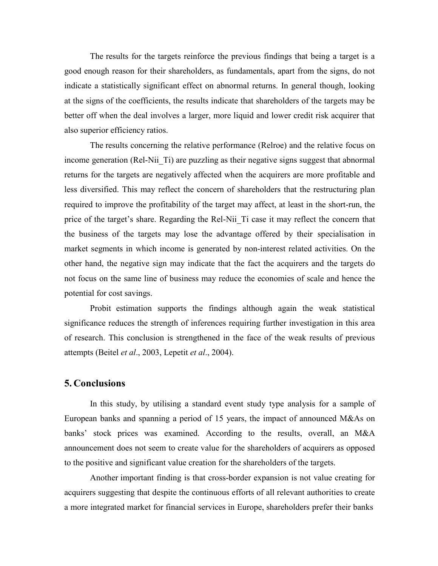The results for the targets reinforce the previous findings that being a target is a good enough reason for their shareholders, as fundamentals, apart from the signs, do not indicate a statistically significant effect on abnormal returns. In general though, looking at the signs of the coefficients, the results indicate that shareholders of the targets may be better off when the deal involves a larger, more liquid and lower credit risk acquirer that also superior efficiency ratios.

The results concerning the relative performance (Relroe) and the relative focus on income generation (Rel-Nii Ti) are puzzling as their negative signs suggest that abnormal returns for the targets are negatively affected when the acquirers are more profitable and less diversified. This may reflect the concern of shareholders that the restructuring plan required to improve the profitability of the target may affect, at least in the short-run, the price of the target's share. Regarding the Rel-Nii\_Ti case it may reflect the concern that the business of the targets may lose the advantage offered by their specialisation in market segments in which income is generated by non-interest related activities. On the other hand, the negative sign may indicate that the fact the acquirers and the targets do not focus on the same line of business may reduce the economies of scale and hence the potential for cost savings.

Probit estimation supports the findings although again the weak statistical significance reduces the strength of inferences requiring further investigation in this area of research. This conclusion is strengthened in the face of the weak results of previous attempts (Beitel *et al.*, 2003, Lepetit *et al.*, 2004).

## **5. Conclusions**

In this study, by utilising a standard event study type analysis for a sample of European banks and spanning a period of 15 years, the impact of announced M&As on banks' stock prices was examined. According to the results, overall, an M&A announcement does not seem to create value for the shareholders of acquirers as opposed to the positive and significant value creation for the shareholders of the targets.

Another important finding is that cross-border expansion is not value creating for acquirers suggesting that despite the continuous efforts of all relevant authorities to create a more integrated market for financial services in Europe, shareholders prefer their banks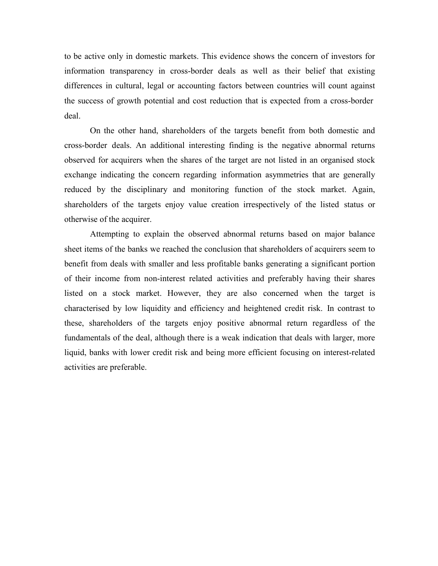to be active only in domestic markets. This evidence shows the concern of investors for information transparency in cross-border deals as well as their belief that existing differences in cultural, legal or accounting factors between countries will count against the success of growth potential and cost reduction that is expected from a cross-border deal.

On the other hand, shareholders of the targets benefit from both domestic and cross-border deals. An additional interesting finding is the negative abnormal returns observed for acquirers when the shares of the target are not listed in an organised stock exchange indicating the concern regarding information asymmetries that are generally reduced by the disciplinary and monitoring function of the stock market. Again, shareholders of the targets enjoy value creation irrespectively of the listed status or otherwise of the acquirer.

Attempting to explain the observed abnormal returns based on major balance sheet items of the banks we reached the conclusion that shareholders of acquirers seem to benefit from deals with smaller and less profitable banks generating a significant portion of their income from non-interest related activities and preferably having their shares listed on a stock market. However, they are also concerned when the target is characterised by low liquidity and efficiency and heightened credit risk. In contrast to these, shareholders of the targets enjoy positive abnormal return regardless of the fundamentals of the deal, although there is a weak indication that deals with larger, more liquid, banks with lower credit risk and being more efficient focusing on interest-related activities are preferable.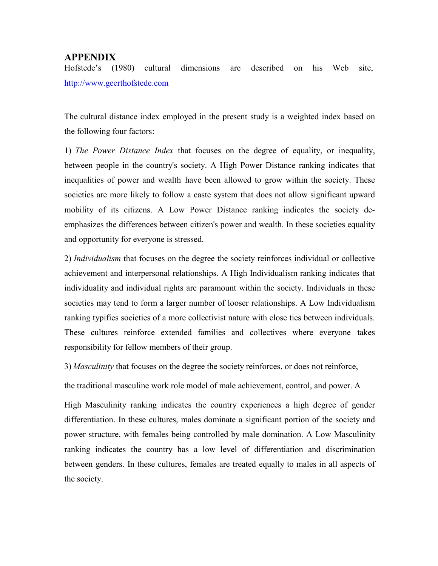# $APPENDIX$

Hofstede's (1980) cultural dimensions are described on his Web site, [http://www.geerthofstede.com](http://www.geerthofstede.com/)

The cultural distance index employed in the present study is a weighted index based on the following four factors:

1) *The Power Distance Index* that focuses on the degree of equality, or inequality, between people in the country's society. A High Power Distance ranking indicates that inequalities of power and wealth have been allowed to grow within the society. These societies are more likely to follow a caste system that does not allow significant upward mobility of its citizens. A Low Power Distance ranking indicates the society deemphasizes the differences between citizen's power and wealth. In these societies equality and opportunity for everyone is stressed.

2) *Individualism* that focuses on the degree the society reinforces individual or collective achievement and interpersonal relationships. A High Individualism ranking indicates that individuality and individual rights are paramount within the society. Individuals in these societies may tend to form a larger number of looser relationships. A Low Individualism ranking typifies societies of a more collectivist nature with close ties between individuals. These cultures reinforce extended families and collectives where everyone takes responsibility for fellow members of their group.

3) *Masculinity* that focuses on the degree the society reinforces, or does not reinforce,

the traditional masculine work role model of male achievement, control, and power. A

High Masculinity ranking indicates the country experiences a high degree of gender differentiation. In these cultures, males dominate a significant portion of the society and power structure, with females being controlled by male domination. A Low Masculinity ranking indicates the country has a low level of differentiation and discrimination between genders. In these cultures, females are treated equally to males in all aspects of the society.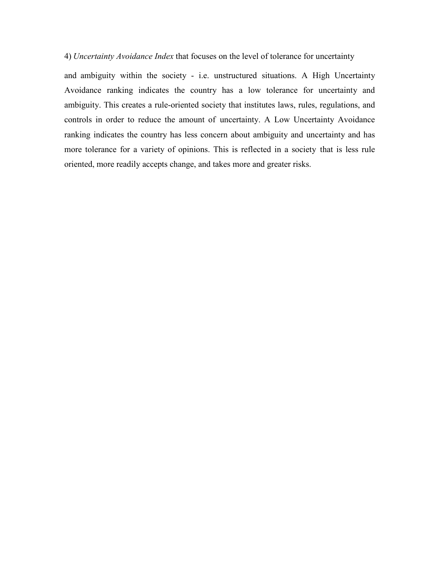4) *Uncertainty Avoidance Index* that focuses on the level of tolerance for uncertainty

and ambiguity within the society - i.e. unstructured situations. A High Uncertainty Avoidance ranking indicates the country has a low tolerance for uncertainty and ambiguity. This creates a rule-oriented society that institutes laws, rules, regulations, and controls in order to reduce the amount of uncertainty. A Low Uncertainty Avoidance ranking indicates the country has less concern about ambiguity and uncertainty and has more tolerance for a variety of opinions. This is reflected in a society that is less rule oriented, more readily accepts change, and takes more and greater risks.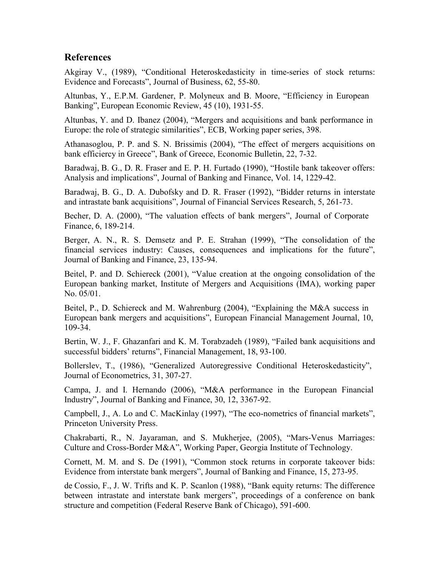## **References**

Akgiray V., (1989), "Conditional Heteroskedasticity in time-series of stock returns: Evidence and Forecasts", Journal of Business, 62, 55-80.

Altunbas, Y., E.P.M. Gardener, P. Molyneux and B. Moore, "Efficiency in European Banking", European Economic Review, 45 (10), 1931-55.

Altunbas, Y. and D. Ibanez (2004), "Mergers and acquisitions and bank performance in Europe: the role of strategic similarities", ECB, Working paper series, 398.

Athanasoglou, P. P. and S. N. Brissimis (2004), "The effect of mergers acquisitions on bank efficiercy in Greece", Bank of Greece, Economic Bulletin, 22, 7-32.

Baradwaj, B. G., D. R. Fraser and E. P. H. Furtado (1990), "Hostile bank takeover offers: Analysis and implications", Journal of Banking and Finance, Vol. 14, 1229-42.

Baradwaj, B. G., D. A. Dubofsky and D. R. Fraser (1992), "Bidder returns in interstate and intrastate bank acquisitions", Journal of Financial Services Research, 5, 261-73.

Becher, D. A. (2000), "The valuation effects of bank mergers", Journal of Corporate Finance, 6, 189-214.

Berger, A. N., R. S. Demsetz and P. E. Strahan (1999), "The consolidation of the financial services industry: Causes, consequences and implications for the future", Journal of Banking and Finance, 23, 135-94.

Beitel, P. and D. Schiereck (2001), "Value creation at the ongoing consolidation of the European banking market, Institute of Mergers and Acquisitions (IMA), working paper No. 05/01.

Beitel, P., D. Schiereck and M. Wahrenburg (2004), "Explaining the M&A success in European bank mergers and acquisitions", European Financial Management Journal, 10, 109-34.

Bertin, W. J., F. Ghazanfari and K. M. Torabzadeh (1989), "Failed bank acquisitions and successful bidders' returns", Financial Management, 18, 93-100.

Bollerslev, T., (1986), "Generalized Autoregressive Conditional Heteroskedasticity", Journal of Econometrics, 31, 307-27.

Campa, J. and I. Hernando (2006), "M&A performance in the European Financial Industry", Journal of Banking and Finance, 30, 12, 3367-92.

Campbell, J., A. Lo and C. MacKinlay (1997), "The eco-nometrics of financial markets", Princeton University Press.

Chakrabarti, R., N. Jayaraman, and S. Mukherjee, (2005), "Mars-Venus Marriages: Culture and Cross-Border M&A", Working Paper, Georgia Institute of Technology.

Cornett, M. M. and S. De (1991), "Common stock returns in corporate takeover bids: Evidence from interstate bank mergers", Journal of Banking and Finance, 15, 273-95.

de Cossio, F., J. W. Trifts and K. P. Scanlon (1988), "Bank equity returns: The difference between intrastate and interstate bank mergers", proceedings of a conference on bank structure and competition (Federal Reserve Bank of Chicago), 591-600.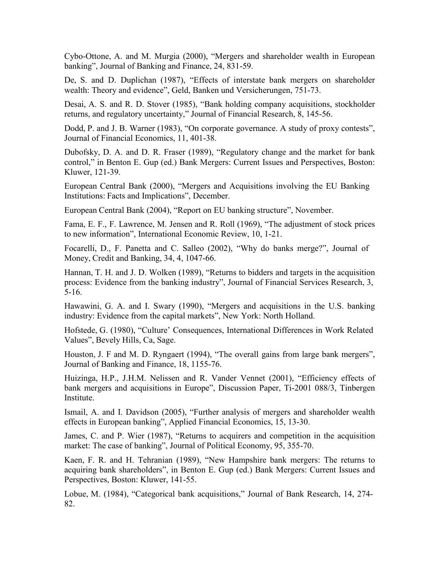Cybo-Ottone, A. and M. Murgia (2000), "Mergers and shareholder wealth in European banking", Journal of Banking and Finance, 24, 831-59.

De, S. and D. Duplichan (1987), "Effects of interstate bank mergers on shareholder wealth: Theory and evidence", Geld, Banken und Versicherungen, 751-73.

Desai, A. S. and R. D. Stover (1985), "Bank holding company acquisitions, stockholder returns, and regulatory uncertainty," Journal of Financial Research, 8, 145-56.

Dodd, P. and J. B. Warner (1983), "On corporate governance. A study of proxy contests", Journal of Financial Economics, 11, 401-38.

Dubofsky, D. A. and D. R. Fraser (1989), "Regulatory change and the market for bank control," in Benton E. Gup (ed.) Bank Mergers: Current Issues and Perspectives, Boston: Kluwer, 121-39.

European Central Bank (2000), "Mergers and Acquisitions involving the EU Banking Institutions: Facts and Implications", December.

European Central Bank (2004), "Report on EU banking structure", November.

Fama, E. F., F. Lawrence, M. Jensen and R. Roll (1969), "The adjustment of stock prices to new information", International Economic Review, 10, 1-21.

Focarelli, D., F. Panetta and C. Salleo (2002), "Why do banks merge?", Journal of Money, Credit and Banking, 34, 4, 1047-66.

Hannan, T. H. and J. D. Wolken (1989), "Returns to bidders and targets in the acquisition process: Evidence from the banking industry", Journal of Financial Services Research, 3, 5-16.

Hawawini, G. A. and I. Swary (1990), "Mergers and acquisitions in the U.S. banking industry: Evidence from the capital markets", New York: North Holland.

Hofstede, G. (1980), "Culture' Consequences, International Differences in Work Related Values", Bevely Hills, Ca, Sage.

Houston, J. F and M. D. Ryngaert (1994), "The overall gains from large bank mergers", Journal of Banking and Finance, 18, 1155-76.

Huizinga, H.P., J.H.M. Nelissen and R. Vander Vennet (2001), "Efficiency effects of bank mergers and acquisitions in Europe", Discussion Paper, Ti-2001 088/3, Tinbergen Institute.

Ismail, A. and I. Davidson (2005), "Further analysis of mergers and shareholder wealth effects in European banking", Applied Financial Economics, 15, 13-30.

James, C. and P. Wier (1987), "Returns to acquirers and competition in the acquisition market: The case of banking", Journal of Political Economy, 95, 355-70.

Kaen, F. R. and H. Tehranian (1989), "New Hampshire bank mergers: The returns to acquiring bank shareholders", in Benton E. Gup (ed.) Bank Mergers: Current Issues and Perspectives, Boston: Kluwer, 141-55.

Lobue, M. (1984), "Categorical bank acquisitions," Journal of Bank Research, 14, 274- 82.